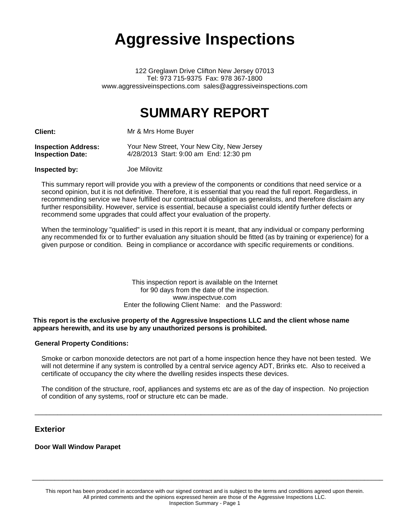# **Aggressive Inspections**

122 Greglawn Drive Clifton New Jersey 07013 Tel: 973 715-9375 Fax: 978 367-1800 www.aggressiveinspections.com sales@aggressiveinspections.com

## **SUMMARY REPORT**

**Client:** Mr & Mrs Home Buyer

| <b>Inspection Address:</b> | Your New Street, Your New City, New Jersey |
|----------------------------|--------------------------------------------|
| <b>Inspection Date:</b>    | 4/28/2013 Start: 9:00 am End: 12:30 pm     |

### **Inspected by:** Joe Milovitz

This summary report will provide you with a preview of the components or conditions that need service or a second opinion, but it is not definitive. Therefore, it is essential that you read the full report. Regardless, in recommending service we have fulfilled our contractual obligation as generalists, and therefore disclaim any further responsibility. However, service is essential, because a specialist could identify further defects or recommend some upgrades that could affect your evaluation of the property.

When the terminology "qualified" is used in this report it is meant, that any individual or company performing any recommended fix or to further evaluation any situation should be fitted (as by training or experience) for a given purpose or condition. Being in compliance or accordance with specific requirements or conditions.

### This inspection report is available on the Internet for 90 days from the date of the inspection. www.inspectvue.com Enter the following Client Name: and the Password:

### **This report is the exclusive property of the Aggressive Inspections LLC and the client whose name appears herewith, and its use by any unauthorized persons is prohibited.**

### **General Property Conditions:**

Smoke or carbon monoxide detectors are not part of a home inspection hence they have not been tested. We will not determine if any system is controlled by a central service agency ADT, Brinks etc. Also to received a certificate of occupancy the city where the dwelling resides inspects these devices.

The condition of the structure, roof, appliances and systems etc are as of the day of inspection. No projection of condition of any systems, roof or structure etc can be made.

\_\_\_\_\_\_\_\_\_\_\_\_\_\_\_\_\_\_\_\_\_\_\_\_\_\_\_\_\_\_\_\_\_\_\_\_\_\_\_\_\_\_\_\_\_\_\_\_\_\_\_\_\_\_\_\_\_\_\_\_\_\_\_\_\_\_\_\_\_\_\_\_\_\_\_\_\_\_\_\_\_\_\_\_\_\_\_\_\_\_\_\_

### **Exterior**

**Door Wall Window Parapet**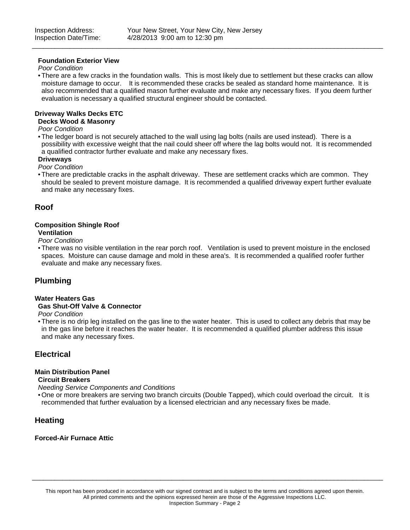### **Foundation Exterior View**

### *Poor Condition*

• There are a few cracks in the foundation walls. This is most likely due to settlement but these cracks can allow moisture damage to occur. It is recommended these cracks be sealed as standard home maintenance. It is also recommended that a qualified mason further evaluate and make any necessary fixes. If you deem further evaluation is necessary a qualified structural engineer should be contacted.

\_\_\_\_\_\_\_\_\_\_\_\_\_\_\_\_\_\_\_\_\_\_\_\_\_\_\_\_\_\_\_\_\_\_\_\_\_\_\_\_\_\_\_\_\_\_\_\_\_\_\_\_\_\_\_\_\_\_\_\_\_\_\_\_\_\_\_\_\_\_\_\_\_\_\_\_\_\_\_\_\_\_\_\_\_\_\_\_\_\_\_\_\_

### **Driveway Walks Decks ETC**

#### **Decks Wood & Masonry**

*Poor Condition*

• The ledger board is not securely attached to the wall using lag bolts (nails are used instead). There is a possibility with excessive weight that the nail could sheer off where the lag bolts would not. It is recommended a qualified contractor further evaluate and make any necessary fixes.

### **Driveways**

### *Poor Condition*

• There are predictable cracks in the asphalt driveway. These are settlement cracks which are common. They should be sealed to prevent moisture damage. It is recommended a qualified driveway expert further evaluate and make any necessary fixes.

### **Roof**

### **Composition Shingle Roof**

### **Ventilation**

*Poor Condition*

• There was no visible ventilation in the rear porch roof. Ventilation is used to prevent moisture in the enclosed spaces. Moisture can cause damage and mold in these area's. It is recommended a qualified roofer further evaluate and make any necessary fixes.

### **Plumbing**

### **Water Heaters Gas**

### **Gas Shut-Off Valve & Connector**

*Poor Condition*

• There is no drip leg installed on the gas line to the water heater. This is used to collect any debris that may be in the gas line before it reaches the water heater. It is recommended a qualified plumber address this issue and make any necessary fixes.

### **Electrical**

### **Main Distribution Panel**

### **Circuit Breakers**

*Needing Service Components and Conditions*

• One or more breakers are serving two branch circuits (Double Tapped), which could overload the circuit. It is recommended that further evaluation by a licensed electrician and any necessary fixes be made.

### **Heating**

### **Forced-Air Furnace Attic**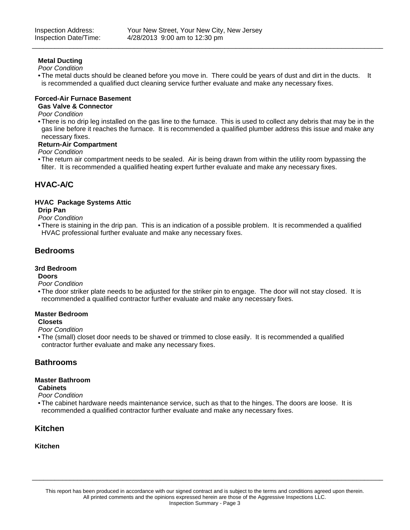### **Metal Ducting**

*Poor Condition*

• The metal ducts should be cleaned before you move in. There could be years of dust and dirt in the ducts. It is recommended a qualified duct cleaning service further evaluate and make any necessary fixes.

\_\_\_\_\_\_\_\_\_\_\_\_\_\_\_\_\_\_\_\_\_\_\_\_\_\_\_\_\_\_\_\_\_\_\_\_\_\_\_\_\_\_\_\_\_\_\_\_\_\_\_\_\_\_\_\_\_\_\_\_\_\_\_\_\_\_\_\_\_\_\_\_\_\_\_\_\_\_\_\_\_\_\_\_\_\_\_\_\_\_\_\_\_

### **Forced-Air Furnace Basement**

### **Gas Valve & Connector**

### *Poor Condition*

• There is no drip leg installed on the gas line to the furnace. This is used to collect any debris that may be in the gas line before it reaches the furnace. It is recommended a qualified plumber address this issue and make any necessary fixes.

### **Return-Air Compartment**

*Poor Condition*

• The return air compartment needs to be sealed. Air is being drawn from within the utility room bypassing the filter. It is recommended a qualified heating expert further evaluate and make any necessary fixes.

### **HVAC-A/C**

### **HVAC Package Systems Attic**

### **Drip Pan**

*Poor Condition*

• There is staining in the drip pan. This is an indication of a possible problem. It is recommended a qualified HVAC professional further evaluate and make any necessary fixes.

### **Bedrooms**

### **3rd Bedroom**

### **Doors**

*Poor Condition*

• The door striker plate needs to be adjusted for the striker pin to engage. The door will not stay closed. It is recommended a qualified contractor further evaluate and make any necessary fixes.

### **Master Bedroom**

### **Closets**

*Poor Condition*

• The (small) closet door needs to be shaved or trimmed to close easily. It is recommended a qualified contractor further evaluate and make any necessary fixes.

### **Bathrooms**

### **Master Bathroom**

**Cabinets**

- *Poor Condition*
- The cabinet hardware needs maintenance service, such as that to the hinges. The doors are loose. It is recommended a qualified contractor further evaluate and make any necessary fixes.

### **Kitchen**

### **Kitchen**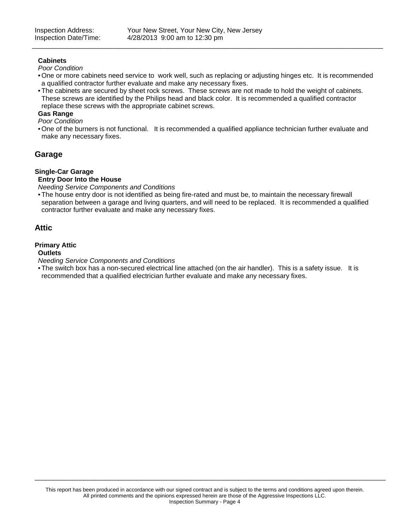### **Cabinets**

### *Poor Condition*

• One or more cabinets need service to work well, such as replacing or adjusting hinges etc. It is recommended a qualified contractor further evaluate and make any necessary fixes.

\_\_\_\_\_\_\_\_\_\_\_\_\_\_\_\_\_\_\_\_\_\_\_\_\_\_\_\_\_\_\_\_\_\_\_\_\_\_\_\_\_\_\_\_\_\_\_\_\_\_\_\_\_\_\_\_\_\_\_\_\_\_\_\_\_\_\_\_\_\_\_\_\_\_\_\_\_\_\_\_\_\_\_\_\_\_\_\_\_\_\_\_\_

• The cabinets are secured by sheet rock screws. These screws are not made to hold the weight of cabinets. These screws are identified by the Philips head and black color. It is recommended a qualified contractor replace these screws with the appropriate cabinet screws.

### **Gas Range**

- *Poor Condition*
- One of the burners is not functional. It is recommended a qualified appliance technician further evaluate and make any necessary fixes.

### **Garage**

### **Single-Car Garage**

### **Entry Door Into the House**

*Needing Service Components and Conditions*

• The house entry door is not identified as being fire-rated and must be, to maintain the necessary firewall separation between a garage and living quarters, and will need to be replaced. It is recommended a qualified contractor further evaluate and make any necessary fixes.

### **Attic**

### **Primary Attic**

### **Outlets**

*Needing Service Components and Conditions*

• The switch box has a non-secured electrical line attached (on the air handler). This is a safety issue. It is recommended that a qualified electrician further evaluate and make any necessary fixes.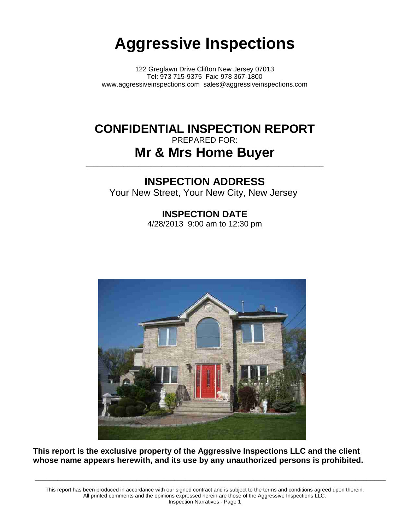# **Aggressive Inspections**

122 Greglawn Drive Clifton New Jersey 07013 Tel: 973 715-9375 Fax: 978 367-1800 www.aggressiveinspections.com sales@aggressiveinspections.com

## **CONFIDENTIAL INSPECTION REPORT** PREPARED FOR: **Mr & Mrs Home Buyer**

**\_\_\_\_\_\_\_\_\_\_\_\_\_\_\_\_\_\_\_\_\_\_\_\_\_\_\_\_\_\_\_\_\_\_\_\_\_\_\_\_\_\_\_\_\_\_\_\_\_\_\_\_\_\_\_\_\_\_\_\_\_\_\_**

## **INSPECTION ADDRESS**

Your New Street, Your New City, New Jersey

**INSPECTION DATE** 4/28/2013 9:00 am to 12:30 pm



**This report is the exclusive property of the Aggressive Inspections LLC and the client whose name appears herewith, and its use by any unauthorized persons is prohibited.**

This report has been produced in accordance with our signed contract and is subject to the terms and conditions agreed upon therein. All printed comments and the opinions expressed herein are those of the Aggressive Inspections LLC. Inspection Narratives - Page 1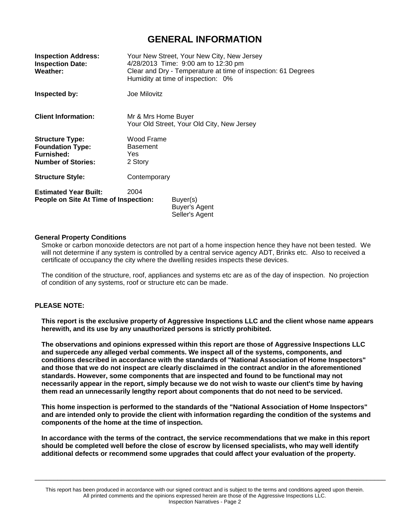### **GENERAL INFORMATION**

| <b>Inspection Address:</b><br><b>Inspection Date:</b><br>Weather:                                   |                                                                   | Your New Street, Your New City, New Jersey<br>4/28/2013 Time: 9:00 am to 12:30 pm<br>Clear and Dry - Temperature at time of inspection: 61 Degrees<br>Humidity at time of inspection: 0% |
|-----------------------------------------------------------------------------------------------------|-------------------------------------------------------------------|------------------------------------------------------------------------------------------------------------------------------------------------------------------------------------------|
| Inspected by:                                                                                       | Joe Milovitz                                                      |                                                                                                                                                                                          |
| <b>Client Information:</b>                                                                          | Mr & Mrs Home Buyer<br>Your Old Street, Your Old City, New Jersey |                                                                                                                                                                                          |
| <b>Structure Type:</b><br><b>Foundation Type:</b><br><b>Furnished:</b><br><b>Number of Stories:</b> | Wood Frame<br><b>Basement</b><br>Yes<br>2 Story                   |                                                                                                                                                                                          |
| <b>Structure Style:</b>                                                                             | Contemporary                                                      |                                                                                                                                                                                          |
| <b>Estimated Year Built:</b><br>People on Site At Time of Inspection:                               | 2004                                                              | Buyer(s)<br>Buyer's Agent<br>Seller's Agent                                                                                                                                              |

### **General Property Conditions**

Smoke or carbon monoxide detectors are not part of a home inspection hence they have not been tested. We will not determine if any system is controlled by a central service agency ADT, Brinks etc. Also to received a certificate of occupancy the city where the dwelling resides inspects these devices.

The condition of the structure, roof, appliances and systems etc are as of the day of inspection. No projection of condition of any systems, roof or structure etc can be made.

### **PLEASE NOTE:**

**This report is the exclusive property of Aggressive Inspections LLC and the client whose name appears herewith, and its use by any unauthorized persons is strictly prohibited.**

**The observations and opinions expressed within this report are those of Aggressive Inspections LLC and supercede any alleged verbal comments. We inspect all of the systems, components, and conditions described in accordance with the standards of "National Association of Home Inspectors" and those that we do not inspect are clearly disclaimed in the contract and/or in the aforementioned standards. However, some components that are inspected and found to be functional may not** necessarily appear in the report, simply because we do not wish to waste our client's time by having **them read an unnecessarily lengthy report about components that do not need to be serviced.**

**This home inspection is performed to the standards of the "National Association of Home Inspectors" and are intended only to provide the client with information regarding the condition of the systems and components of the home at the time of inspection.**

**In accordance with the terms of the contract, the service recommendations that we make in this report should be completed well before the close of escrow by licensed specialists, who may well identify additional defects or recommend some upgrades that could affect your evaluation of the property.**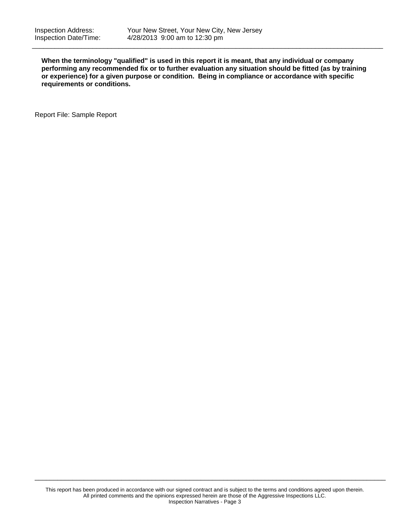**When the terminology "qualified" is used in this report it is meant, that any individual or company performing any recommended fix or to further evaluation any situation should be fitted (as by training or experience) for a given purpose or condition. Being in compliance or accordance with specific requirements or conditions.**

\_\_\_\_\_\_\_\_\_\_\_\_\_\_\_\_\_\_\_\_\_\_\_\_\_\_\_\_\_\_\_\_\_\_\_\_\_\_\_\_\_\_\_\_\_\_\_\_\_\_\_\_\_\_\_\_\_\_\_\_\_\_\_\_\_\_\_\_\_\_\_\_\_\_\_\_\_\_\_\_\_\_\_\_\_\_\_\_\_\_\_\_\_

Report File: Sample Report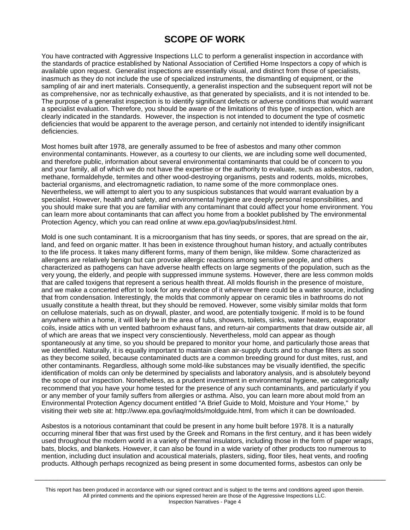## **SCOPE OF WORK**

You have contracted with Aggressive Inspections LLC to perform a generalist inspection in accordance with the standards of practice established by National Association of Certified Home Inspectors a copy of which is available upon request. Generalist inspections are essentially visual, and distinct from those of specialists, inasmuch as they do not include the use of specialized instruments, the dismantling of equipment, or the sampling of air and inert materials. Consequently, a generalist inspection and the subsequent report will not be as comprehensive, nor as technically exhaustive, as that generated by specialists, and it is not intended to be. The purpose of a generalist inspection is to identify significant defects or adverse conditions that would warrant a specialist evaluation. Therefore, you should be aware of the limitations of this type of inspection, which are clearly indicated in the standards. However, the inspection is not intended to document the type of cosmetic deficiencies that would be apparent to the average person, and certainly not intended to identify insignificant deficiencies.

Most homes built after 1978, are generally assumed to be free of asbestos and many other common environmental contaminants. However, as a courtesy to our clients, we are including some well documented, and therefore public, information about several environmental contaminants that could be of concern to you and your family, all of which we do not have the expertise or the authority to evaluate, such as asbestos, radon, methane, formaldehyde, termites and other wood-destroying organisms, pests and rodents, molds, microbes, bacterial organisms, and electromagnetic radiation, to name some of the more commonplace ones. Nevertheless, we will attempt to alert you to any suspicious substances that would warrant evaluation by a specialist. However, health and safety, and environmental hygiene are deeply personal responsibilities, and you should make sure that you are familiar with any contaminant that could affect your home environment. You can learn more about contaminants that can affect you home from a booklet published by The environmental Protection Agency, which you can read online at www.epa.gov/iaq/pubs/insidest.html.

Mold is one such contaminant. It is a microorganism that has tiny seeds, or spores, that are spread on the air, land, and feed on organic matter. It has been in existence throughout human history, and actually contributes to the life process. It takes many different forms, many of them benign, like mildew. Some characterized as allergens are relatively benign but can provoke allergic reactions among sensitive people, and others characterized as pathogens can have adverse health effects on large segments of the population, such as the very young, the elderly, and people with suppressed immune systems. However, there are less common molds that are called toxigens that represent a serious health threat. All molds flourish in the presence of moisture, and we make a concerted effort to look for any evidence of it wherever there could be a water source, including that from condensation. Interestingly, the molds that commonly appear on ceramic tiles in bathrooms do not usually constitute a health threat, but they should be removed. However, some visibly similar molds that form on cellulose materials, such as on drywall, plaster, and wood, are potentially toxigenic. If mold is to be found anywhere within a home, it will likely be in the area of tubs, showers, toilets, sinks, water heaters, evaporator coils, inside attics with un vented bathroom exhaust fans, and return-air compartments that draw outside air, all of which are areas that we inspect very conscientiously. Nevertheless, mold can appear as though spontaneously at any time, so you should be prepared to monitor your home, and particularly those areas that we identified. Naturally, it is equally important to maintain clean air-supply ducts and to change filters as soon as they become soiled, because contaminated ducts are a common breeding ground for dust mites, rust, and other contaminants. Regardless, although some mold-like substances may be visually identified, the specific identification of molds can only be determined by specialists and laboratory analysis, and is absolutely beyond the scope of our inspection. Nonetheless, as a prudent investment in environmental hygiene, we categorically recommend that you have your home tested for the presence of any such contaminants, and particularly if you or any member of your family suffers from allergies or asthma. Also, you can learn more about mold from an Environmental Protection Agency document entitled "A Brief Guide to Mold, Moisture and Your Home," by visiting their web site at: http://www.epa.gov/iaq/molds/moldguide.html, from which it can be downloaded.

Asbestos is a notorious contaminant that could be present in any home built before 1978. It is a naturally occurring mineral fiber that was first used by the Greek and Romans in the first century, and it has been widely used throughout the modern world in a variety of thermal insulators, including those in the form of paper wraps, bats, blocks, and blankets. However, it can also be found in a wide variety of other products too numerous to mention, including duct insulation and acoustical materials, plasters, siding, floor tiles, heat vents, and roofing products. Although perhaps recognized as being present in some documented forms, asbestos can only be

\_\_\_\_\_\_\_\_\_\_\_\_\_\_\_\_\_\_\_\_\_\_\_\_\_\_\_\_\_\_\_\_\_\_\_\_\_\_\_\_\_\_\_\_\_\_\_\_\_\_\_\_\_\_\_\_\_\_\_\_\_\_\_\_\_\_\_\_\_\_\_\_\_\_\_\_\_\_\_\_\_\_\_\_\_\_\_\_\_\_\_\_\_

This report has been produced in accordance with our signed contract and is subject to the terms and conditions agreed upon therein. All printed comments and the opinions expressed herein are those of the Aggressive Inspections LLC. Inspection Narratives - Page 4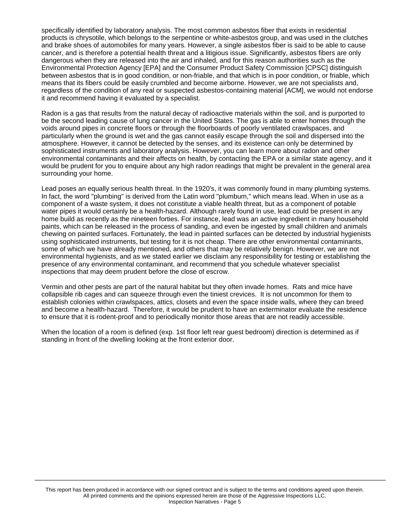specifically identified by laboratory analysis. The most common asbestos fiber that exists in residential products is chrysotile, which belongs to the serpentine or white-asbestos group, and was used in the clutches and brake shoes of automobiles for many years. However, a single asbestos fiber is said to be able to cause cancer, and is therefore a potential health threat and a litigious issue. Significantly, asbestos fibers are only dangerous when they are released into the air and inhaled, and for this reason authorities such as the Environmental Protection Agency [EPA] and the Consumer Product Safety Commission [CPSC] distinguish between asbestos that is in good condition, or non-friable, and that which is in poor condition, or friable, which means that its fibers could be easily crumbled and become airborne. However, we are not specialists and, regardless of the condition of any real or suspected asbestos-containing material [ACM], we would not endorse it and recommend having it evaluated by a specialist.

Radon is a gas that results from the natural decay of radioactive materials within the soil, and is purported to be the second leading cause of lung cancer in the United States. The gas is able to enter homes through the voids around pipes in concrete floors or through the floorboards of poorly ventilated crawlspaces, and particularly when the ground is wet and the gas cannot easily escape through the soil and dispersed into the atmosphere. However, it cannot be detected by the senses, and its existence can only be determined by sophisticated instruments and laboratory analysis. However, you can learn more about radon and other environmental contaminants and their affects on health, by contacting the EPA or a similar state agency, and it would be prudent for you to enquire about any high radon readings that might be prevalent in the general area surrounding your home.

Lead poses an equally serious health threat. In the 1920's, it was commonly found in many plumbing systems. In fact, the word "plumbing" is derived from the Latin word "plumbum," which means lead. When in use as a component of a waste system, it does not constitute a viable health threat, but as a component of potable water pipes it would certainly be a health-hazard. Although rarely found in use, lead could be present in any home build as recently as the nineteen forties. For instance, lead was an active ingredient in many household paints, which can be released in the process of sanding, and even be ingested by small children and animals chewing on painted surfaces. Fortunately, the lead in painted surfaces can be detected by industrial hygienists using sophisticated instruments, but testing for it is not cheap. There are other environmental contaminants, some of which we have already mentioned, and others that may be relatively benign. However, we are not environmental hygienists, and as we stated earlier we disclaim any responsibility for testing or establishing the presence of any environmental contaminant, and recommend that you schedule whatever specialist inspections that may deem prudent before the close of escrow.

Vermin and other pests are part of the natural habitat but they often invade homes. Rats and mice have collapsible rib cages and can squeeze through even the tiniest crevices. It is not uncommon for them to establish colonies within crawlspaces, attics, closets and even the space inside walls, where they can breed and become a health-hazard. Therefore, it would be prudent to have an exterminator evaluate the residence to ensure that it is rodent-proof and to periodically monitor those areas that are not readily accessible.

When the location of a room is defined (exp. 1st floor left rear guest bedroom) direction is determined as if standing in front of the dwelling looking at the front exterior door.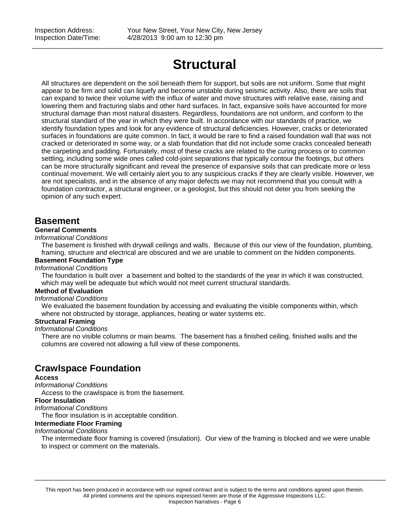## **Structural**

\_\_\_\_\_\_\_\_\_\_\_\_\_\_\_\_\_\_\_\_\_\_\_\_\_\_\_\_\_\_\_\_\_\_\_\_\_\_\_\_\_\_\_\_\_\_\_\_\_\_\_\_\_\_\_\_\_\_\_\_\_\_\_\_\_\_\_\_\_\_\_\_\_\_\_\_\_\_\_\_\_\_\_\_\_\_\_\_\_\_\_\_\_

All structures are dependent on the soil beneath them for support, but soils are not uniform. Some that might appear to be firm and solid can liquefy and become unstable during seismic activity. Also, there are soils that can expand to twice their volume with the influx of water and move structures with relative ease, raising and lowering them and fracturing slabs and other hard surfaces. In fact, expansive soils have accounted for more structural damage than most natural disasters. Regardless, foundations are not uniform, and conform to the structural standard of the year in which they were built. In accordance with our standards of practice, we identify foundation types and look for any evidence of structural deficiencies. However, cracks or deteriorated surfaces in foundations are quite common. In fact, it would be rare to find a raised foundation wall that was not cracked or deteriorated in some way, or a slab foundation that did not include some cracks concealed beneath the carpeting and padding. Fortunately, most of these cracks are related to the curing process or to common settling, including some wide ones called cold-joint separations that typically contour the footings, but others can be more structurally significant and reveal the presence of expansive soils that can predicate more or less continual movement. We will certainly alert you to any suspicious cracks if they are clearly visible. However, we are not specialists, and in the absence of any major defects we may not recommend that you consult with a foundation contractor, a structural engineer, or a geologist, but this should not deter you from seeking the opinion of any such expert.

### **Basement**

### **General Comments**

### *Informational Conditions*

The basement is finished with drywall ceilings and walls. Because of this our view of the foundation, plumbing, framing, structure and electrical are obscured and we are unable to comment on the hidden components.

### **Basement Foundation Type**

*Informational Conditions*

The foundation is built over a basement and bolted to the standards of the year in which it was constructed, which may well be adequate but which would not meet current structural standards.

### **Method of Evaluation**

#### *Informational Conditions*

We evaluated the basement foundation by accessing and evaluating the visible components within, which where not obstructed by storage, appliances, heating or water systems etc.

### **Structural Framing**

#### *Informational Conditions*

There are no visible columns or main beams. The basement has a finished ceiling, finished walls and the columns are covered not allowing a full view of these components.

### **Crawlspace Foundation**

#### **Access**

*Informational Conditions*

Access to the crawlspace is from the basement.

### **Floor Insulation**

*Informational Conditions*

The floor insulation is in acceptable condition.

### **Intermediate Floor Framing**

### *Informational Conditions*

The intermediate floor framing is covered (insulation). Our view of the framing is blocked and we were unable to inspect or comment on the materials.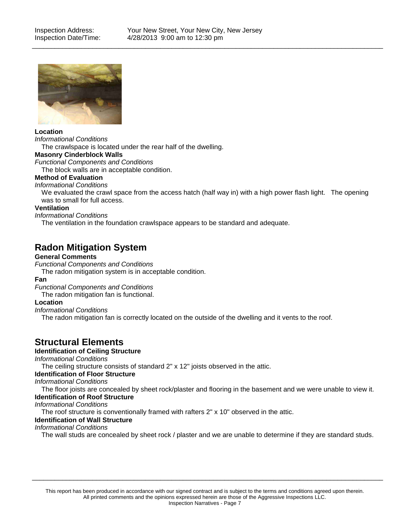

### **Location**

*Informational Conditions*

The crawlspace is located under the rear half of the dwelling.

### **Masonry Cinderblock Walls**

*Functional Components and Conditions*

The block walls are in acceptable condition.

### **Method of Evaluation**

#### *Informational Conditions*

We evaluated the crawl space from the access hatch (half way in) with a high power flash light. The opening was to small for full access.

### **Ventilation**

*Informational Conditions*

The ventilation in the foundation crawlspace appears to be standard and adequate.

### **Radon Mitigation System**

### **General Comments**

*Functional Components and Conditions*

The radon mitigation system is in acceptable condition.

### **Fan**

*Functional Components and Conditions*

The radon mitigation fan is functional.

### **Location**

*Informational Conditions*

The radon mitigation fan is correctly located on the outside of the dwelling and it vents to the roof.

### **Structural Elements**

### **Identification of Ceiling Structure**

*Informational Conditions*

The ceiling structure consists of standard 2" x 12" joists observed in the attic.

### **Identification of Floor Structure**

*Informational Conditions*

The floor joists are concealed by sheet rock/plaster and flooring in the basement and we were unable to view it.

### **Identification of Roof Structure**

*Informational Conditions*

The roof structure is conventionally framed with rafters 2" x 10" observed in the attic.

### **Identification of Wall Structure**

### *Informational Conditions*

The wall studs are concealed by sheet rock / plaster and we are unable to determine if they are standard studs.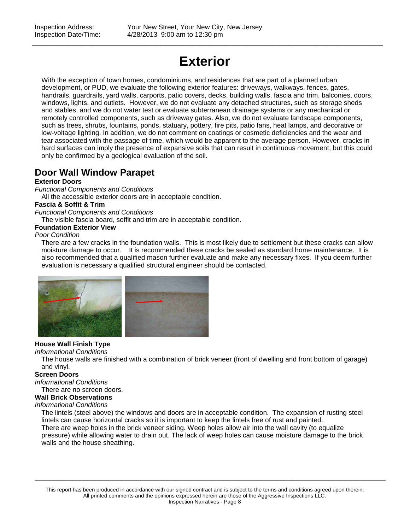## **Exterior**

\_\_\_\_\_\_\_\_\_\_\_\_\_\_\_\_\_\_\_\_\_\_\_\_\_\_\_\_\_\_\_\_\_\_\_\_\_\_\_\_\_\_\_\_\_\_\_\_\_\_\_\_\_\_\_\_\_\_\_\_\_\_\_\_\_\_\_\_\_\_\_\_\_\_\_\_\_\_\_\_\_\_\_\_\_\_\_\_\_\_\_\_\_

With the exception of town homes, condominiums, and residences that are part of a planned urban development, or PUD, we evaluate the following exterior features: driveways, walkways, fences, gates, handrails, guardrails, yard walls, carports, patio covers, decks, building walls, fascia and trim, balconies, doors, windows, lights, and outlets. However, we do not evaluate any detached structures, such as storage sheds and stables, and we do not water test or evaluate subterranean drainage systems or any mechanical or remotely controlled components, such as driveway gates. Also, we do not evaluate landscape components, such as trees, shrubs, fountains, ponds, statuary, pottery, fire pits, patio fans, heat lamps, and decorative or low-voltage lighting. In addition, we do not comment on coatings or cosmetic deficiencies and the wear and tear associated with the passage of time, which would be apparent to the average person. However, cracks in hard surfaces can imply the presence of expansive soils that can result in continuous movement, but this could only be confirmed by a geological evaluation of the soil.

### **Door Wall Window Parapet**

### **Exterior Doors**

*Functional Components and Conditions*

All the accessible exterior doors are in acceptable condition.

### **Fascia & Soffit & Trim**

*Functional Components and Conditions*

The visible fascia board, soffit and trim are in acceptable condition.

### **Foundation Exterior View**

### *Poor Condition*

There are a few cracks in the foundation walls. This is most likely due to settlement but these cracks can allow moisture damage to occur. It is recommended these cracks be sealed as standard home maintenance. It is also recommended that a qualified mason further evaluate and make any necessary fixes. If you deem further evaluation is necessary a qualified structural engineer should be contacted.



### **House Wall Finish Type**

*Informational Conditions*

The house walls are finished with a combination of brick veneer (front of dwelling and front bottom of garage) and vinyl.

### **Screen Doors**

*Informational Conditions*

There are no screen doors.

### **Wall Brick Observations**

*Informational Conditions*

The lintels (steel above) the windows and doors are in acceptable condition. The expansion of rusting steel lintels can cause horizontal cracks so it is important to keep the lintels free of rust and painted. There are weep holes in the brick veneer siding. Weep holes allow air into the wall cavity (to equalize pressure) while allowing water to drain out. The lack of weep holes can cause moisture damage to the brick walls and the house sheathing.

This report has been produced in accordance with our signed contract and is subject to the terms and conditions agreed upon therein. All printed comments and the opinions expressed herein are those of the Aggressive Inspections LLC. Inspection Narratives - Page 8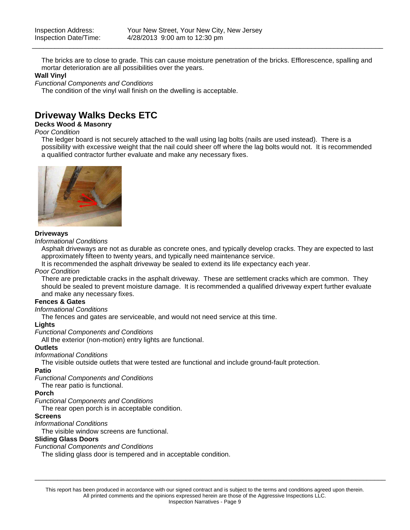The bricks are to close to grade. This can cause moisture penetration of the bricks. Efflorescence, spalling and mortar deterioration are all possibilities over the years.

\_\_\_\_\_\_\_\_\_\_\_\_\_\_\_\_\_\_\_\_\_\_\_\_\_\_\_\_\_\_\_\_\_\_\_\_\_\_\_\_\_\_\_\_\_\_\_\_\_\_\_\_\_\_\_\_\_\_\_\_\_\_\_\_\_\_\_\_\_\_\_\_\_\_\_\_\_\_\_\_\_\_\_\_\_\_\_\_\_\_\_\_\_

### **Wall Vinyl**

*Functional Components and Conditions*

The condition of the vinyl wall finish on the dwelling is acceptable.

### **Driveway Walks Decks ETC**

### **Decks Wood & Masonry**

#### *Poor Condition*

The ledger board is not securely attached to the wall using lag bolts (nails are used instead). There is a possibility with excessive weight that the nail could sheer off where the lag bolts would not. It is recommended a qualified contractor further evaluate and make any necessary fixes.



### **Driveways**

*Informational Conditions*

Asphalt driveways are not as durable as concrete ones, and typically develop cracks. They are expected to last approximately fifteen to twenty years, and typically need maintenance service.

It is recommended the asphalt driveway be sealed to extend its life expectancy each year.

#### *Poor Condition*

There are predictable cracks in the asphalt driveway. These are settlement cracks which are common. They should be sealed to prevent moisture damage. It is recommended a qualified driveway expert further evaluate and make any necessary fixes.

### **Fences & Gates**

### *Informational Conditions*

The fences and gates are serviceable, and would not need service at this time.

#### **Lights**

*Functional Components and Conditions*

All the exterior (non-motion) entry lights are functional.

#### **Outlets**

### *Informational Conditions*

The visible outside outlets that were tested are functional and include ground-fault protection.

#### **Patio**

*Functional Components and Conditions*

The rear patio is functional.

### **Porch**

#### *Functional Components and Conditions*

The rear open porch is in acceptable condition.

#### **Screens**

#### *Informational Conditions*

The visible window screens are functional.

### **Sliding Glass Doors**

*Functional Components and Conditions*

The sliding glass door is tempered and in acceptable condition.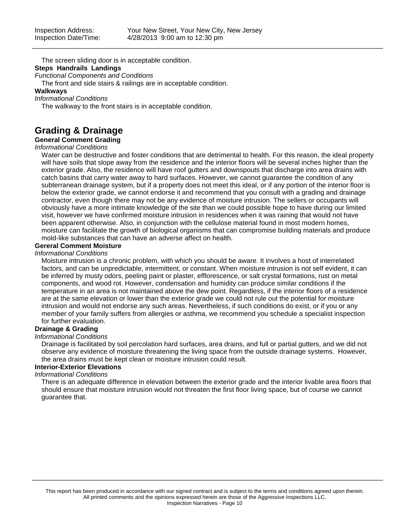The screen sliding door is in acceptable condition. **Steps Handrails Landings**

### *Functional Components and Conditions*

The front and side stairs & railings are in acceptable condition.

### **Walkways**

*Informational Conditions*

The walkway to the front stairs is in acceptable condition.

### **Grading & Drainage**

### **General Comment Grading**

### *Informational Conditions*

Water can be destructive and foster conditions that are detrimental to health. For this reason, the ideal property will have soils that slope away from the residence and the interior floors will be several inches higher than the exterior grade. Also, the residence will have roof gutters and downspouts that discharge into area drains with catch basins that carry water away to hard surfaces. However, we cannot guarantee the condition of any subterranean drainage system, but if a property does not meet this ideal, or if any portion of the interior floor is below the exterior grade, we cannot endorse it and recommend that you consult with a grading and drainage contractor, even though there may not be any evidence of moisture intrusion. The sellers or occupants will obviously have a more intimate knowledge of the site than we could possible hope to have during our limited visit, however we have confirmed moisture intrusion in residences when it was raining that would not have been apparent otherwise. Also, in conjunction with the cellulose material found in most modern homes, moisture can facilitate the growth of biological organisms that can compromise building materials and produce mold-like substances that can have an adverse affect on health.

### **Gereral Comment Moisture**

### *Informational Conditions*

Moisture intrusion is a chronic problem, with which you should be aware. It involves a host of interrelated factors, and can be unpredictable, intermittent, or constant. When moisture intrusion is not self evident, it can be inferred by musty odors, peeling paint or plaster, efflorescence, or salt crystal formations, rust on metal components, and wood rot. However, condensation and humidity can produce similar conditions if the temperature in an area is not maintained above the dew point. Regardless, if the interior floors of a residence are at the same elevation or lower than the exterior grade we could not rule out the potential for moisture intrusion and would not endorse any such areas. Nevertheless, if such conditions do exist, or if you or any member of your family suffers from allergies or asthma, we recommend you schedule a specialist inspection for further evaluation.

### **Drainage & Grading**

### *Informational Conditions*

Drainage is facilitated by soil percolation hard surfaces, area drains, and full or partial gutters, and we did not observe any evidence of moisture threatening the living space from the outside drainage systems. However, the area drains must be kept clean or moisture intrusion could result.

### **Interior-Exterior Elevations**

### *Informational Conditions*

There is an adequate difference in elevation between the exterior grade and the interior livable area floors that should ensure that moisture intrusion would not threaten the first floor living space, but of course we cannot guarantee that.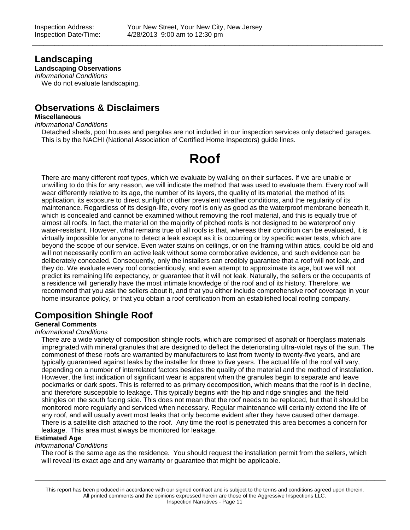### **Landscaping**

**Landscaping Observations**

*Informational Conditions* We do not evaluate landscaping.

## **Observations & Disclaimers**

### **Miscellaneous**

*Informational Conditions*

Detached sheds, pool houses and pergolas are not included in our inspection services only detached garages. This is by the NACHI (National Association of Certified Home Inspectors) guide lines.

## **Roof**

There are many different roof types, which we evaluate by walking on their surfaces. If we are unable or unwilling to do this for any reason, we will indicate the method that was used to evaluate them. Every roof will wear differently relative to its age, the number of its layers, the quality of its material, the method of its application, its exposure to direct sunlight or other prevalent weather conditions, and the regularity of its maintenance. Regardless of its design-life, every roof is only as good as the waterproof membrane beneath it, which is concealed and cannot be examined without removing the roof material, and this is equally true of almost all roofs. In fact, the material on the majority of pitched roofs is not designed to be waterproof only water-resistant. However, what remains true of all roofs is that, whereas their condition can be evaluated, it is virtually impossible for anyone to detect a leak except as it is occurring or by specific water tests, which are beyond the scope of our service. Even water stains on ceilings, or on the framing within attics, could be old and will not necessarily confirm an active leak without some corroborative evidence, and such evidence can be deliberately concealed. Consequently, only the installers can credibly guarantee that a roof will not leak, and they do. We evaluate every roof conscientiously, and even attempt to approximate its age, but we will not predict its remaining life expectancy, or guarantee that it will not leak. Naturally, the sellers or the occupants of a residence will generally have the most intimate knowledge of the roof and of its history. Therefore, we recommend that you ask the sellers about it, and that you either include comprehensive roof coverage in your home insurance policy, or that you obtain a roof certification from an established local roofing company.

## **Composition Shingle Roof**

### **General Comments**

### *Informational Conditions*

There are a wide variety of composition shingle roofs, which are comprised of asphalt or fiberglass materials impregnated with mineral granules that are designed to deflect the deteriorating ultra-violet rays of the sun. The commonest of these roofs are warranted by manufacturers to last from twenty to twenty-five years, and are typically guaranteed against leaks by the installer for three to five years. The actual life of the roof will vary, depending on a number of interrelated factors besides the quality of the material and the method of installation. However, the first indication of significant wear is apparent when the granules begin to separate and leave pockmarks or dark spots. This is referred to as primary decomposition, which means that the roof is in decline, and therefore susceptible to leakage. This typically begins with the hip and ridge shingles and the field shingles on the south facing side. This does not mean that the roof needs to be replaced, but that it should be monitored more regularly and serviced when necessary. Regular maintenance will certainly extend the life of any roof, and will usually avert most leaks that only become evident after they have caused other damage. There is a satellite dish attached to the roof. Any time the roof is penetrated this area becomes a concern for leakage. This area must always be monitored for leakage.

### **Estimated Age**

### *Informational Conditions*

The roof is the same age as the residence. You should request the installation permit from the sellers, which will reveal its exact age and any warranty or guarantee that might be applicable.

\_\_\_\_\_\_\_\_\_\_\_\_\_\_\_\_\_\_\_\_\_\_\_\_\_\_\_\_\_\_\_\_\_\_\_\_\_\_\_\_\_\_\_\_\_\_\_\_\_\_\_\_\_\_\_\_\_\_\_\_\_\_\_\_\_\_\_\_\_\_\_\_\_\_\_\_\_\_\_\_\_\_\_\_\_\_\_\_\_\_\_\_\_

This report has been produced in accordance with our signed contract and is subject to the terms and conditions agreed upon therein. All printed comments and the opinions expressed herein are those of the Aggressive Inspections LLC. Inspection Narratives - Page 11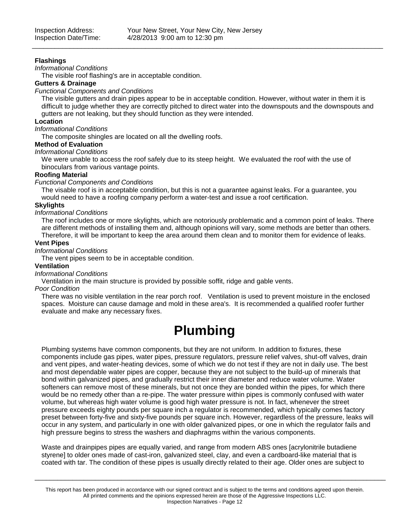### **Flashings**

### *Informational Conditions*

The visible roof flashing's are in acceptable condition.

### **Gutters & Drainage**

### *Functional Components and Conditions*

The visible gutters and drain pipes appear to be in acceptable condition. However, without water in them it is difficult to judge whether they are correctly pitched to direct water into the downspouts and the downspouts and gutters are not leaking, but they should function as they were intended.

\_\_\_\_\_\_\_\_\_\_\_\_\_\_\_\_\_\_\_\_\_\_\_\_\_\_\_\_\_\_\_\_\_\_\_\_\_\_\_\_\_\_\_\_\_\_\_\_\_\_\_\_\_\_\_\_\_\_\_\_\_\_\_\_\_\_\_\_\_\_\_\_\_\_\_\_\_\_\_\_\_\_\_\_\_\_\_\_\_\_\_\_\_

### **Location**

### *Informational Conditions*

The composite shingles are located on all the dwelling roofs.

### **Method of Evaluation**

### *Informational Conditions*

We were unable to access the roof safely due to its steep height. We evaluated the roof with the use of binoculars from various vantage points.

### **Roofing Material**

### *Functional Components and Conditions*

The visable roof is in acceptable condition, but this is not a guarantee against leaks. For a guarantee, you would need to have a roofing company perform a water-test and issue a roof certification.

### **Skylights**

### *Informational Conditions*

The roof includes one or more skylights, which are notoriously problematic and a common point of leaks. There are different methods of installing them and, although opinions will vary, some methods are better than others. Therefore, it will be important to keep the area around them clean and to monitor them for evidence of leaks.

### **Vent Pipes**

### *Informational Conditions*

The vent pipes seem to be in acceptable condition.

### **Ventilation**

#### *Informational Conditions*

Ventilation in the main structure is provided by possible soffit, ridge and gable vents.

#### *Poor Condition*

There was no visible ventilation in the rear porch roof. Ventilation is used to prevent moisture in the enclosed spaces. Moisture can cause damage and mold in these area's. It is recommended a qualified roofer further evaluate and make any necessary fixes.

## **Plumbing**

Plumbing systems have common components, but they are not uniform. In addition to fixtures, these components include gas pipes, water pipes, pressure regulators, pressure relief valves, shut-off valves, drain and vent pipes, and water-heating devices, some of which we do not test if they are not in daily use. The best and most dependable water pipes are copper, because they are not subject to the build-up of minerals that bond within galvanized pipes, and gradually restrict their inner diameter and reduce water volume. Water softeners can remove most of these minerals, but not once they are bonded within the pipes, for which there would be no remedy other than a re-pipe. The water pressure within pipes is commonly confused with water volume, but whereas high water volume is good high water pressure is not. In fact, whenever the street pressure exceeds eighty pounds per square inch a regulator is recommended, which typically comes factory preset between forty-five and sixty-five pounds per square inch. However, regardless of the pressure, leaks will occur in any system, and particularly in one with older galvanized pipes, or one in which the regulator fails and high pressure begins to stress the washers and diaphragms within the various components.

Waste and drainpipes pipes are equally varied, and range from modern ABS ones [acrylonitrile butadiene styrene] to older ones made of cast-iron, galvanized steel, clay, and even a cardboard-like material that is coated with tar. The condition of these pipes is usually directly related to their age. Older ones are subject to

This report has been produced in accordance with our signed contract and is subject to the terms and conditions agreed upon therein. All printed comments and the opinions expressed herein are those of the Aggressive Inspections LLC. Inspection Narratives - Page 12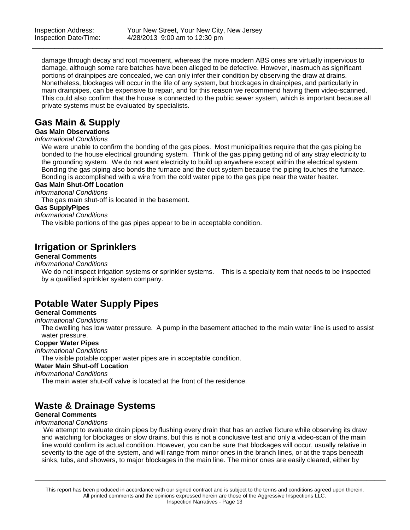damage through decay and root movement, whereas the more modern ABS ones are virtually impervious to damage, although some rare batches have been alleged to be defective. However, inasmuch as significant portions of drainpipes are concealed, we can only infer their condition by observing the draw at drains. Nonetheless, blockages will occur in the life of any system, but blockages in drainpipes, and particularly in main drainpipes, can be expensive to repair, and for this reason we recommend having them video-scanned. This could also confirm that the house is connected to the public sewer system, which is important because all private systems must be evaluated by specialists.

\_\_\_\_\_\_\_\_\_\_\_\_\_\_\_\_\_\_\_\_\_\_\_\_\_\_\_\_\_\_\_\_\_\_\_\_\_\_\_\_\_\_\_\_\_\_\_\_\_\_\_\_\_\_\_\_\_\_\_\_\_\_\_\_\_\_\_\_\_\_\_\_\_\_\_\_\_\_\_\_\_\_\_\_\_\_\_\_\_\_\_\_\_

### **Gas Main & Supply**

### **Gas Main Observations**

### *Informational Conditions*

We were unable to confirm the bonding of the gas pipes. Most municipalities require that the gas piping be bonded to the house electrical grounding system. Think of the gas piping getting rid of any stray electricity to the grounding system. We do not want electricity to build up anywhere except within the electrical system. Bonding the gas piping also bonds the furnace and the duct system because the piping touches the furnace. Bonding is accomplished with a wire from the cold water pipe to the gas pipe near the water heater.

### **Gas Main Shut-Off Location**

*Informational Conditions*

The gas main shut-off is located in the basement.

### **Gas SupplyPipes**

*Informational Conditions*

The visible portions of the gas pipes appear to be in acceptable condition.

### **Irrigation or Sprinklers**

### **General Comments**

*Informational Conditions*

We do not inspect irrigation systems or sprinkler systems. This is a specialty item that needs to be inspected by a qualified sprinkler system company.

### **Potable Water Supply Pipes**

### **General Comments**

*Informational Conditions*

The dwelling has low water pressure. A pump in the basement attached to the main water line is used to assist water pressure.

### **Copper Water Pipes**

### *Informational Conditions*

The visible potable copper water pipes are in acceptable condition.

### **Water Main Shut-off Location**

*Informational Conditions*

The main water shut-off valve is located at the front of the residence.

### **Waste & Drainage Systems**

### **General Comments**

#### *Informational Conditions*

We attempt to evaluate drain pipes by flushing every drain that has an active fixture while observing its draw and watching for blockages or slow drains, but this is not a conclusive test and only a video-scan of the main line would confirm its actual condition. However, you can be sure that blockages will occur, usually relative in severity to the age of the system, and will range from minor ones in the branch lines, or at the traps beneath sinks, tubs, and showers, to major blockages in the main line. The minor ones are easily cleared, either by

This report has been produced in accordance with our signed contract and is subject to the terms and conditions agreed upon therein. All printed comments and the opinions expressed herein are those of the Aggressive Inspections LLC. Inspection Narratives - Page 13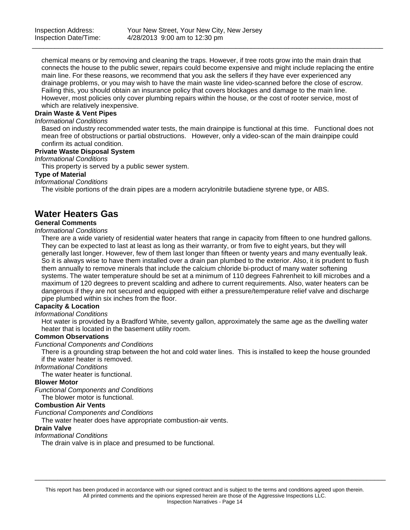chemical means or by removing and cleaning the traps. However, if tree roots grow into the main drain that connects the house to the public sewer, repairs could become expensive and might include replacing the entire main line. For these reasons, we recommend that you ask the sellers if they have ever experienced any drainage problems, or you may wish to have the main waste line video-scanned before the close of escrow. Failing this, you should obtain an insurance policy that covers blockages and damage to the main line. However, most policies only cover plumbing repairs within the house, or the cost of rooter service, most of which are relatively inexpensive.

\_\_\_\_\_\_\_\_\_\_\_\_\_\_\_\_\_\_\_\_\_\_\_\_\_\_\_\_\_\_\_\_\_\_\_\_\_\_\_\_\_\_\_\_\_\_\_\_\_\_\_\_\_\_\_\_\_\_\_\_\_\_\_\_\_\_\_\_\_\_\_\_\_\_\_\_\_\_\_\_\_\_\_\_\_\_\_\_\_\_\_\_\_

### **Drain Waste & Vent Pipes**

### *Informational Conditions*

Based on industry recommended water tests, the main drainpipe is functional at this time. Functional does not mean free of obstructions or partial obstructions. However, only a video-scan of the main drainpipe could confirm its actual condition.

### **Private Waste Disposal System**

*Informational Conditions*

This property is served by a public sewer system.

### **Type of Material**

*Informational Conditions*

The visible portions of the drain pipes are a modern acrylonitrile butadiene styrene type, or ABS.

### **Water Heaters Gas**

### **General Comments**

#### *Informational Conditions*

There are a wide variety of residential water heaters that range in capacity from fifteen to one hundred gallons. They can be expected to last at least as long as their warranty, or from five to eight years, but they will generally last longer. However, few of them last longer than fifteen or twenty years and many eventually leak. So it is always wise to have them installed over a drain pan plumbed to the exterior. Also, it is prudent to flush them annually to remove minerals that include the calcium chloride bi-product of many water softening systems. The water temperature should be set at a minimum of 110 degrees Fahrenheit to kill microbes and a maximum of 120 degrees to prevent scalding and adhere to current requirements. Also, water heaters can be dangerous if they are not secured and equipped with either a pressure/temperature relief valve and discharge pipe plumbed within six inches from the floor.

### **Capacity & Location**

### *Informational Conditions*

Hot water is provided by a Bradford White, seventy gallon, approximately the same age as the dwelling water heater that is located in the basement utility room.

#### **Common Observations**

*Functional Components and Conditions*

There is a grounding strap between the hot and cold water lines. This is installed to keep the house grounded if the water heater is removed.

#### *Informational Conditions*

The water heater is functional.

### **Blower Motor**

*Functional Components and Conditions*

The blower motor is functional.

### **Combustion Air Vents**

*Functional Components and Conditions*

The water heater does have appropriate combustion-air vents.

### **Drain Valve**

### *Informational Conditions*

The drain valve is in place and presumed to be functional.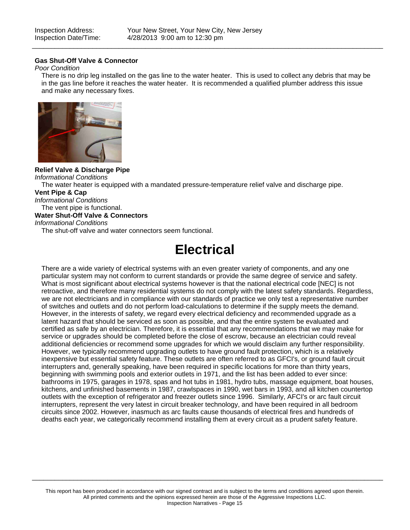### **Gas Shut-Off Valve & Connector**

### *Poor Condition*

There is no drip leg installed on the gas line to the water heater. This is used to collect any debris that may be in the gas line before it reaches the water heater. It is recommended a qualified plumber address this issue and make any necessary fixes.

\_\_\_\_\_\_\_\_\_\_\_\_\_\_\_\_\_\_\_\_\_\_\_\_\_\_\_\_\_\_\_\_\_\_\_\_\_\_\_\_\_\_\_\_\_\_\_\_\_\_\_\_\_\_\_\_\_\_\_\_\_\_\_\_\_\_\_\_\_\_\_\_\_\_\_\_\_\_\_\_\_\_\_\_\_\_\_\_\_\_\_\_\_



**Relief Valve & Discharge Pipe** *Informational Conditions* The water heater is equipped with a mandated pressure-temperature relief valve and discharge pipe. **Vent Pipe & Cap** *Informational Conditions* The vent pipe is functional. **Water Shut-Off Valve & Connectors** *Informational Conditions* The shut-off valve and water connectors seem functional.

## **Electrical**

There are a wide variety of electrical systems with an even greater variety of components, and any one particular system may not conform to current standards or provide the same degree of service and safety. What is most significant about electrical systems however is that the national electrical code [NEC] is not retroactive, and therefore many residential systems do not comply with the latest safety standards. Regardless, we are not electricians and in compliance with our standards of practice we only test a representative number of switches and outlets and do not perform load-calculations to determine if the supply meets the demand. However, in the interests of safety, we regard every electrical deficiency and recommended upgrade as a latent hazard that should be serviced as soon as possible, and that the entire system be evaluated and certified as safe by an electrician. Therefore, it is essential that any recommendations that we may make for service or upgrades should be completed before the close of escrow, because an electrician could reveal additional deficiencies or recommend some upgrades for which we would disclaim any further responsibility. However, we typically recommend upgrading outlets to have ground fault protection, which is a relatively inexpensive but essential safety feature. These outlets are often referred to as GFCI's, or ground fault circuit interrupters and, generally speaking, have been required in specific locations for more than thirty years, beginning with swimming pools and exterior outlets in 1971, and the list has been added to ever since: bathrooms in 1975, garages in 1978, spas and hot tubs in 1981, hydro tubs, massage equipment, boat houses, kitchens, and unfinished basements in 1987, crawlspaces in 1990, wet bars in 1993, and all kitchen countertop outlets with the exception of refrigerator and freezer outlets since 1996. Similarly, AFCI's or arc fault circuit interrupters, represent the very latest in circuit breaker technology, and have been required in all bedroom circuits since 2002. However, inasmuch as arc faults cause thousands of electrical fires and hundreds of deaths each year, we categorically recommend installing them at every circuit as a prudent safety feature.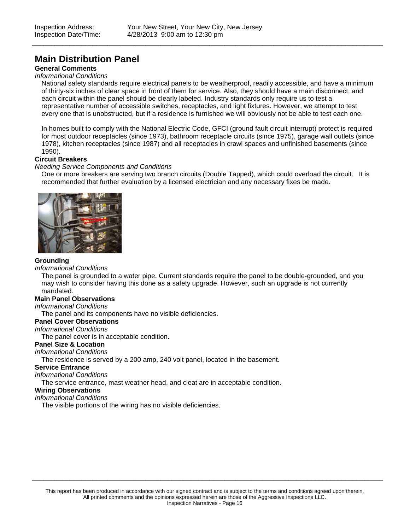### **Main Distribution Panel**

### **General Comments**

#### *Informational Conditions*

National safety standards require electrical panels to be weatherproof, readily accessible, and have a minimum of thirty-six inches of clear space in front of them for service. Also, they should have a main disconnect, and each circuit within the panel should be clearly labeled. Industry standards only require us to test a representative number of accessible switches, receptacles, and light fixtures. However, we attempt to test every one that is unobstructed, but if a residence is furnished we will obviously not be able to test each one.

\_\_\_\_\_\_\_\_\_\_\_\_\_\_\_\_\_\_\_\_\_\_\_\_\_\_\_\_\_\_\_\_\_\_\_\_\_\_\_\_\_\_\_\_\_\_\_\_\_\_\_\_\_\_\_\_\_\_\_\_\_\_\_\_\_\_\_\_\_\_\_\_\_\_\_\_\_\_\_\_\_\_\_\_\_\_\_\_\_\_\_\_\_

In homes built to comply with the National Electric Code, GFCI (ground fault circuit interrupt) protect is required for most outdoor receptacles (since 1973), bathroom receptacle circuits (since 1975), garage wall outlets (since 1978), kitchen receptacles (since 1987) and all receptacles in crawl spaces and unfinished basements (since 1990).

### **Circuit Breakers**

#### *Needing Service Components and Conditions*

One or more breakers are serving two branch circuits (Double Tapped), which could overload the circuit. It is recommended that further evaluation by a licensed electrician and any necessary fixes be made.



#### **Grounding**

#### *Informational Conditions*

The panel is grounded to a water pipe. Current standards require the panel to be double-grounded, and you may wish to consider having this done as a safety upgrade. However, such an upgrade is not currently mandated.

### **Main Panel Observations**

*Informational Conditions*

The panel and its components have no visible deficiencies.

### **Panel Cover Observations**

*Informational Conditions*

The panel cover is in acceptable condition.

### **Panel Size & Location**

### *Informational Conditions*

The residence is served by a 200 amp, 240 volt panel, located in the basement.

#### **Service Entrance**

*Informational Conditions*

The service entrance, mast weather head, and cleat are in acceptable condition.

### **Wiring Observations**

### *Informational Conditions*

The visible portions of the wiring has no visible deficiencies.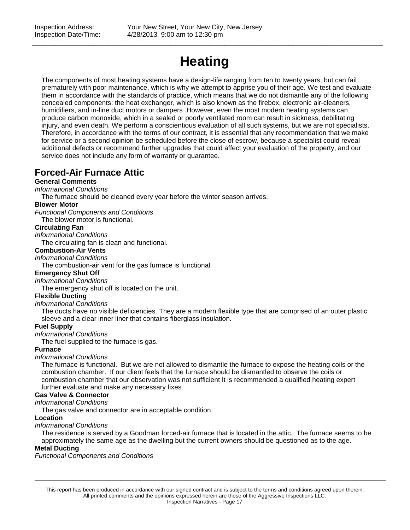# **Heating**

\_\_\_\_\_\_\_\_\_\_\_\_\_\_\_\_\_\_\_\_\_\_\_\_\_\_\_\_\_\_\_\_\_\_\_\_\_\_\_\_\_\_\_\_\_\_\_\_\_\_\_\_\_\_\_\_\_\_\_\_\_\_\_\_\_\_\_\_\_\_\_\_\_\_\_\_\_\_\_\_\_\_\_\_\_\_\_\_\_\_\_\_\_

The components of most heating systems have a design-life ranging from ten to twenty years, but can fail prematurely with poor maintenance, which is why we attempt to apprise you of their age. We test and evaluate them in accordance with the standards of practice, which means that we do not dismantle any of the following concealed components: the heat exchanger, which is also known as the firebox, electronic air-cleaners, humidifiers, and in-line duct motors or dampers .However, even the most modern heating systems can produce carbon monoxide, which in a sealed or poorly ventilated room can result in sickness, debilitating injury, and even death. We perform a conscientious evaluation of all such systems, but we are not specialists. Therefore, in accordance with the terms of our contract, it is essential that any recommendation that we make for service or a second opinion be scheduled before the close of escrow, because a specialist could reveal additional defects or recommend further upgrades that could affect your evaluation of the property, and our service does not include any form of warranty or guarantee.

### **Forced-Air Furnace Attic**

### **General Comments**

### *Informational Conditions*

The furnace should be cleaned every year before the winter season arrives.

### **Blower Motor**

*Functional Components and Conditions* The blower motor is functional.

### **Circulating Fan**

*Informational Conditions*

The circulating fan is clean and functional.

### **Combustion-Air Vents**

*Informational Conditions*

The combustion-air vent for the gas furnace is functional.

### **Emergency Shut Off**

*Informational Conditions*

The emergency shut off is located on the unit.

### **Flexible Ducting**

*Informational Conditions*

The ducts have no visible deficiencies. They are a modern flexible type that are comprised of an outer plastic sleeve and a clear inner liner that contains fiberglass insulation.

### **Fuel Supply**

### *Informational Conditions*

The fuel supplied to the furnace is gas.

### **Furnace**

### *Informational Conditions*

The furnace is functional. But we are not allowed to dismantle the furnace to expose the heating coils or the combustion chamber. If our client feels that the furnace should be dismantled to observe the coils or combustion chamber that our observation was not sufficient It is recommended a qualified heating expert further evaluate and make any necessary fixes.

### **Gas Valve & Connector**

### *Informational Conditions*

The gas valve and connector are in acceptable condition.

### **Location**

### *Informational Conditions*

The residence is served by a Goodman forced-air furnace that is located in the attic. The furnace seems to be approximately the same age as the dwelling but the current owners should be questioned as to the age.

### **Metal Ducting**

*Functional Components and Conditions*

This report has been produced in accordance with our signed contract and is subject to the terms and conditions agreed upon therein. All printed comments and the opinions expressed herein are those of the Aggressive Inspections LLC. Inspection Narratives - Page 17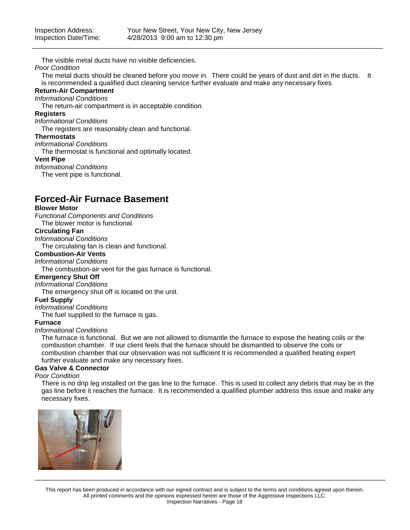The visible metal ducts have no visible deficiencies.

### *Poor Condition*

The metal ducts should be cleaned before you move in. There could be years of dust and dirt in the ducts. It is recommended a qualified duct cleaning service further evaluate and make any necessary fixes.

\_\_\_\_\_\_\_\_\_\_\_\_\_\_\_\_\_\_\_\_\_\_\_\_\_\_\_\_\_\_\_\_\_\_\_\_\_\_\_\_\_\_\_\_\_\_\_\_\_\_\_\_\_\_\_\_\_\_\_\_\_\_\_\_\_\_\_\_\_\_\_\_\_\_\_\_\_\_\_\_\_\_\_\_\_\_\_\_\_\_\_\_\_

### **Return-Air Compartment**

*Informational Conditions*

The return-air compartment is in acceptable condition.

### **Registers**

*Informational Conditions*

The registers are reasonably clean and functional.

### **Thermostats**

*Informational Conditions*

The thermostat is functional and optimally located.

#### **Vent Pipe**

*Informational Conditions*

The vent pipe is functional.

### **Forced-Air Furnace Basement**

### **Blower Motor**

*Functional Components and Conditions* The blower motor is functional.

### **Circulating Fan**

*Informational Conditions*

The circulating fan is clean and functional.

### **Combustion-Air Vents**

### *Informational Conditions*

The combustion-air vent for the gas furnace is functional.

### **Emergency Shut Off**

*Informational Conditions*

The emergency shut off is located on the unit.

### **Fuel Supply**

*Informational Conditions*

The fuel supplied to the furnace is gas.

#### **Furnace**

#### *Informational Conditions*

The furnace is functional. But we are not allowed to dismantle the furnace to expose the heating coils or the combustion chamber. If our client feels that the furnace should be dismantled to observe the coils or combustion chamber that our observation was not sufficient It is recommended a qualified heating expert further evaluate and make any necessary fixes.

### **Gas Valve & Connector**

### *Poor Condition*

There is no drip leg installed on the gas line to the furnace. This is used to collect any debris that may be in the gas line before it reaches the furnace. It is recommended a qualified plumber address this issue and make any necessary fixes.



This report has been produced in accordance with our signed contract and is subject to the terms and conditions agreed upon therein. All printed comments and the opinions expressed herein are those of the Aggressive Inspections LLC. Inspection Narratives - Page 18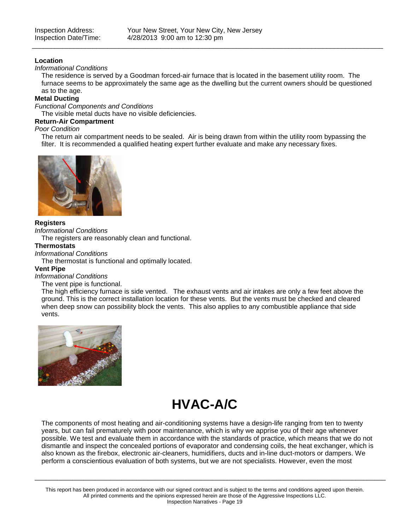### **Location**

### *Informational Conditions*

The residence is served by a Goodman forced-air furnace that is located in the basement utility room. The furnace seems to be approximately the same age as the dwelling but the current owners should be questioned as to the age.

\_\_\_\_\_\_\_\_\_\_\_\_\_\_\_\_\_\_\_\_\_\_\_\_\_\_\_\_\_\_\_\_\_\_\_\_\_\_\_\_\_\_\_\_\_\_\_\_\_\_\_\_\_\_\_\_\_\_\_\_\_\_\_\_\_\_\_\_\_\_\_\_\_\_\_\_\_\_\_\_\_\_\_\_\_\_\_\_\_\_\_\_\_

### **Metal Ducting**

*Functional Components and Conditions*

The visible metal ducts have no visible deficiencies.

### **Return-Air Compartment**

#### *Poor Condition*

The return air compartment needs to be sealed. Air is being drawn from within the utility room bypassing the filter. It is recommended a qualified heating expert further evaluate and make any necessary fixes.



### **Registers**

#### *Informational Conditions*

The registers are reasonably clean and functional.

### **Thermostats**

### *Informational Conditions*

The thermostat is functional and optimally located.

### **Vent Pipe**

#### *Informational Conditions*

#### The vent pipe is functional.

The high efficiency furnace is side vented. The exhaust vents and air intakes are only a few feet above the ground. This is the correct installation location for these vents. But the vents must be checked and cleared when deep snow can possibility block the vents. This also applies to any combustible appliance that side vents.



## **HVAC-A/C**

The components of most heating and air-conditioning systems have a design-life ranging from ten to twenty years, but can fail prematurely with poor maintenance, which is why we apprise you of their age whenever possible. We test and evaluate them in accordance with the standards of practice, which means that we do not dismantle and inspect the concealed portions of evaporator and condensing coils, the heat exchanger, which is also known as the firebox, electronic air-cleaners, humidifiers, ducts and in-line duct-motors or dampers. We perform a conscientious evaluation of both systems, but we are not specialists. However, even the most

\_\_\_\_\_\_\_\_\_\_\_\_\_\_\_\_\_\_\_\_\_\_\_\_\_\_\_\_\_\_\_\_\_\_\_\_\_\_\_\_\_\_\_\_\_\_\_\_\_\_\_\_\_\_\_\_\_\_\_\_\_\_\_\_\_\_\_\_\_\_\_\_\_\_\_\_\_\_\_\_\_\_\_\_\_\_\_\_\_\_\_\_\_

This report has been produced in accordance with our signed contract and is subject to the terms and conditions agreed upon therein. All printed comments and the opinions expressed herein are those of the Aggressive Inspections LLC. Inspection Narratives - Page 19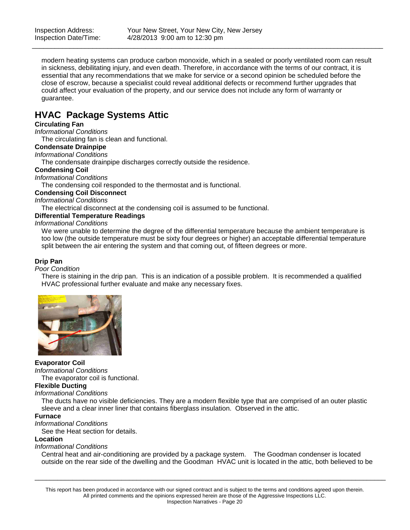modern heating systems can produce carbon monoxide, which in a sealed or poorly ventilated room can result in sickness, debilitating injury, and even death. Therefore, in accordance with the terms of our contract, it is essential that any recommendations that we make for service or a second opinion be scheduled before the close of escrow, because a specialist could reveal additional defects or recommend further upgrades that could affect your evaluation of the property, and our service does not include any form of warranty or guarantee.

\_\_\_\_\_\_\_\_\_\_\_\_\_\_\_\_\_\_\_\_\_\_\_\_\_\_\_\_\_\_\_\_\_\_\_\_\_\_\_\_\_\_\_\_\_\_\_\_\_\_\_\_\_\_\_\_\_\_\_\_\_\_\_\_\_\_\_\_\_\_\_\_\_\_\_\_\_\_\_\_\_\_\_\_\_\_\_\_\_\_\_\_\_

### **HVAC Package Systems Attic**

### **Circulating Fan**

*Informational Conditions*

The circulating fan is clean and functional.

### **Condensate Drainpipe**

*Informational Conditions*

The condensate drainpipe discharges correctly outside the residence.

### **Condensing Coil**

*Informational Conditions*

The condensing coil responded to the thermostat and is functional.

### **Condensing Coil Disconnect**

*Informational Conditions*

The electrical disconnect at the condensing coil is assumed to be functional.

### **Differential Temperature Readings**

*Informational Conditions*

We were unable to determine the degree of the differential temperature because the ambient temperature is too low (the outside temperature must be sixty four degrees or higher) an acceptable differential temperature split between the air entering the system and that coming out, of fifteen degrees or more.

### **Drip Pan**

### *Poor Condition*

There is staining in the drip pan. This is an indication of a possible problem. It is recommended a qualified HVAC professional further evaluate and make any necessary fixes.



### **Evaporator Coil**

*Informational Conditions*

The evaporator coil is functional.

### **Flexible Ducting**

*Informational Conditions*

The ducts have no visible deficiencies. They are a modern flexible type that are comprised of an outer plastic sleeve and a clear inner liner that contains fiberglass insulation. Observed in the attic.

### **Furnace**

*Informational Conditions*

See the Heat section for details.

#### **Location**

#### *Informational Conditions*

Central heat and air-conditioning are provided by a package system. The Goodman condenser is located outside on the rear side of the dwelling and the Goodman HVAC unit is located in the attic, both believed to be

\_\_\_\_\_\_\_\_\_\_\_\_\_\_\_\_\_\_\_\_\_\_\_\_\_\_\_\_\_\_\_\_\_\_\_\_\_\_\_\_\_\_\_\_\_\_\_\_\_\_\_\_\_\_\_\_\_\_\_\_\_\_\_\_\_\_\_\_\_\_\_\_\_\_\_\_\_\_\_\_\_\_\_\_\_\_\_\_\_\_\_\_\_

This report has been produced in accordance with our signed contract and is subject to the terms and conditions agreed upon therein. All printed comments and the opinions expressed herein are those of the Aggressive Inspections LLC. Inspection Narratives - Page 20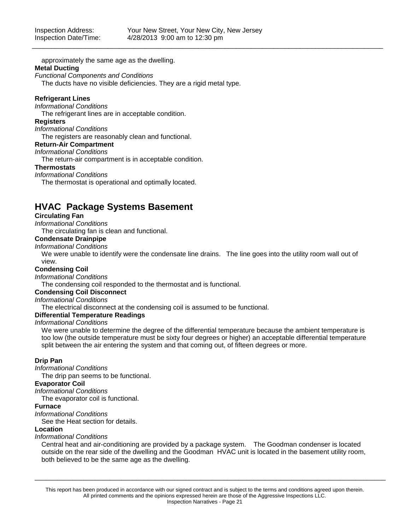approximately the same age as the dwelling.

### **Metal Ducting**

*Functional Components and Conditions*

The ducts have no visible deficiencies. They are a rigid metal type.

### **Refrigerant Lines**

*Informational Conditions*

The refrigerant lines are in acceptable condition.

### **Registers**

### *Informational Conditions*

The registers are reasonably clean and functional.

### **Return-Air Compartment**

#### *Informational Conditions*

The return-air compartment is in acceptable condition.

#### **Thermostats**

#### *Informational Conditions*

The thermostat is operational and optimally located.

### **HVAC Package Systems Basement**

### **Circulating Fan**

*Informational Conditions*

The circulating fan is clean and functional.

### **Condensate Drainpipe**

### *Informational Conditions*

We were unable to identify were the condensate line drains. The line goes into the utility room wall out of view.

### **Condensing Coil**

*Informational Conditions*

The condensing coil responded to the thermostat and is functional.

### **Condensing Coil Disconnect**

*Informational Conditions*

The electrical disconnect at the condensing coil is assumed to be functional.

### **Differential Temperature Readings**

### *Informational Conditions*

We were unable to determine the degree of the differential temperature because the ambient temperature is too low (the outside temperature must be sixty four degrees or higher) an acceptable differential temperature split between the air entering the system and that coming out, of fifteen degrees or more.

### **Drip Pan**

### *Informational Conditions*

The drip pan seems to be functional.

### **Evaporator Coil**

*Informational Conditions*

The evaporator coil is functional.

### **Furnace**

*Informational Conditions*

See the Heat section for details.

#### **Location**

### *Informational Conditions*

Central heat and air-conditioning are provided by a package system. The Goodman condenser is located outside on the rear side of the dwelling and the Goodman HVAC unit is located in the basement utility room, both believed to be the same age as the dwelling.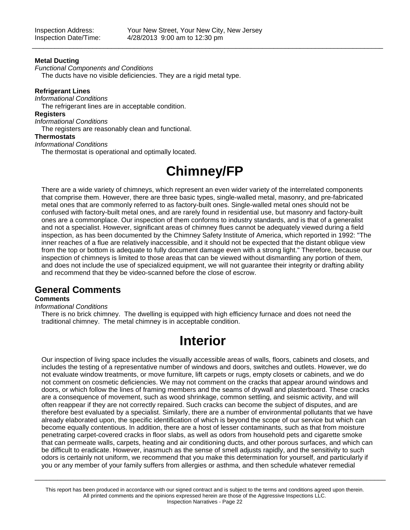### **Metal Ducting**

*Functional Components and Conditions*

The ducts have no visible deficiencies. They are a rigid metal type.

### **Refrigerant Lines**

*Informational Conditions*

The refrigerant lines are in acceptable condition.

### **Registers**

*Informational Conditions*

The registers are reasonably clean and functional.

### **Thermostats**

*Informational Conditions* The thermostat is operational and optimally located.

## **Chimney/FP**

There are a wide variety of chimneys, which represent an even wider variety of the interrelated components that comprise them. However, there are three basic types, single-walled metal, masonry, and pre-fabricated metal ones that are commonly referred to as factory-built ones. Single-walled metal ones should not be confused with factory-built metal ones, and are rarely found in residential use, but masonry and factory-built ones are a commonplace. Our inspection of them conforms to industry standards, and is that of a generalist and not a specialist. However, significant areas of chimney flues cannot be adequately viewed during a field inspection, as has been documented by the Chimney Safety Institute of America, which reported in 1992: "The inner reaches of a flue are relatively inaccessible, and it should not be expected that the distant oblique view from the top or bottom is adequate to fully document damage even with a strong light." Therefore, because our inspection of chimneys is limited to those areas that can be viewed without dismantling any portion of them, and does not include the use of specialized equipment, we will not guarantee their integrity or drafting ability and recommend that they be video-scanned before the close of escrow.

### **General Comments**

### **Comments**

#### *Informational Conditions*

There is no brick chimney. The dwelling is equipped with high efficiency furnace and does not need the traditional chimney. The metal chimney is in acceptable condition.

## **Interior**

Our inspection of living space includes the visually accessible areas of walls, floors, cabinets and closets, and includes the testing of a representative number of windows and doors, switches and outlets. However, we do not evaluate window treatments, or move furniture, lift carpets or rugs, empty closets or cabinets, and we do not comment on cosmetic deficiencies. We may not comment on the cracks that appear around windows and doors, or which follow the lines of framing members and the seams of drywall and plasterboard. These cracks are a consequence of movement, such as wood shrinkage, common settling, and seismic activity, and will often reappear if they are not correctly repaired. Such cracks can become the subject of disputes, and are therefore best evaluated by a specialist. Similarly, there are a number of environmental pollutants that we have already elaborated upon, the specific identification of which is beyond the scope of our service but which can become equally contentious. In addition, there are a host of lesser contaminants, such as that from moisture penetrating carpet-covered cracks in floor slabs, as well as odors from household pets and cigarette smoke that can permeate walls, carpets, heating and air conditioning ducts, and other porous surfaces, and which can be difficult to eradicate. However, inasmuch as the sense of smell adjusts rapidly, and the sensitivity to such odors is certainly not uniform, we recommend that you make this determination for yourself, and particularly if you or any member of your family suffers from allergies or asthma, and then schedule whatever remedial

This report has been produced in accordance with our signed contract and is subject to the terms and conditions agreed upon therein. All printed comments and the opinions expressed herein are those of the Aggressive Inspections LLC. Inspection Narratives - Page 22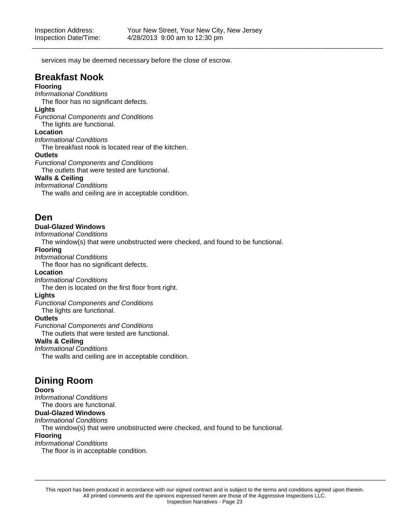services may be deemed necessary before the close of escrow.

### **Breakfast Nook**

### **Flooring**

*Informational Conditions*

The floor has no significant defects.

### **Lights**

*Functional Components and Conditions* The lights are functional.

**Location**

*Informational Conditions*

The breakfast nook is located rear of the kitchen.

### **Outlets**

*Functional Components and Conditions*

The outlets that were tested are functional.

### **Walls & Ceiling**

*Informational Conditions*

The walls and ceiling are in acceptable condition.

### **Den**

### **Dual-Glazed Windows**

*Informational Conditions*

The window(s) that were unobstructed were checked, and found to be functional.

### **Flooring**

*Informational Conditions*

The floor has no significant defects.

### **Location**

*Informational Conditions*

The den is located on the first floor front right.

### **Lights**

*Functional Components and Conditions*

The lights are functional.

### **Outlets**

*Functional Components and Conditions* The outlets that were tested are functional.

### **Walls & Ceiling**

*Informational Conditions*

The walls and ceiling are in acceptable condition.

### **Dining Room**

### **Doors**

*Informational Conditions* The doors are functional.

**Dual-Glazed Windows**

*Informational Conditions*

The window(s) that were unobstructed were checked, and found to be functional.

### **Flooring**

*Informational Conditions*

The floor is in acceptable condition.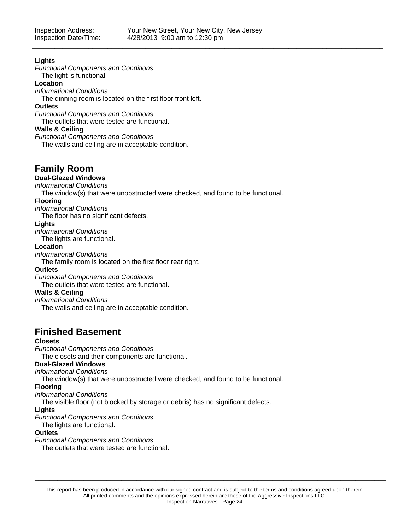### **Lights**

*Functional Components and Conditions* The light is functional.

### **Location**

*Informational Conditions*

The dinning room is located on the first floor front left.

### **Outlets**

*Functional Components and Conditions*

The outlets that were tested are functional.

### **Walls & Ceiling**

*Functional Components and Conditions*

The walls and ceiling are in acceptable condition.

### **Family Room**

### **Dual-Glazed Windows**

*Informational Conditions*

The window(s) that were unobstructed were checked, and found to be functional.

### **Flooring**

*Informational Conditions*

The floor has no significant defects.

### **Lights**

*Informational Conditions*

The lights are functional.

### **Location**

*Informational Conditions*

The family room is located on the first floor rear right.

### **Outlets**

*Functional Components and Conditions*

The outlets that were tested are functional.

### **Walls & Ceiling**

*Informational Conditions*

The walls and ceiling are in acceptable condition.

## **Finished Basement**

### **Closets**

*Functional Components and Conditions*

The closets and their components are functional.

### **Dual-Glazed Windows**

*Informational Conditions*

The window(s) that were unobstructed were checked, and found to be functional.

### **Flooring**

### *Informational Conditions*

The visible floor (not blocked by storage or debris) has no significant defects.

### **Lights**

*Functional Components and Conditions*

The lights are functional.

### **Outlets**

*Functional Components and Conditions*

The outlets that were tested are functional.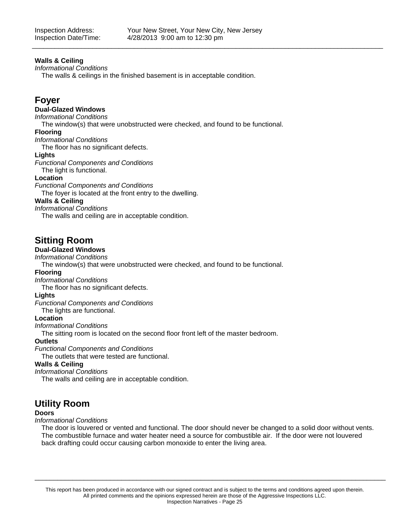### **Walls & Ceiling**

*Informational Conditions*

The walls & ceilings in the finished basement is in acceptable condition.

### **Foyer**

### **Dual-Glazed Windows**

#### *Informational Conditions*

The window(s) that were unobstructed were checked, and found to be functional.

### **Flooring**

*Informational Conditions*

The floor has no significant defects.

#### **Lights**

*Functional Components and Conditions*

The light is functional.

### **Location**

*Functional Components and Conditions*

The foyer is located at the front entry to the dwelling.

### **Walls & Ceiling**

*Informational Conditions*

The walls and ceiling are in acceptable condition.

### **Sitting Room**

### **Dual-Glazed Windows**

*Informational Conditions*

The window(s) that were unobstructed were checked, and found to be functional.

### **Flooring**

*Informational Conditions*

The floor has no significant defects.

### **Lights**

*Functional Components and Conditions*

The lights are functional.

### **Location**

*Informational Conditions*

The sitting room is located on the second floor front left of the master bedroom.

### **Outlets**

*Functional Components and Conditions*

The outlets that were tested are functional.

### **Walls & Ceiling**

*Informational Conditions*

The walls and ceiling are in acceptable condition.

### **Utility Room**

### **Doors**

### *Informational Conditions*

The door is louvered or vented and functional. The door should never be changed to a solid door without vents. The combustible furnace and water heater need a source for combustible air. If the door were not louvered back drafting could occur causing carbon monoxide to enter the living area.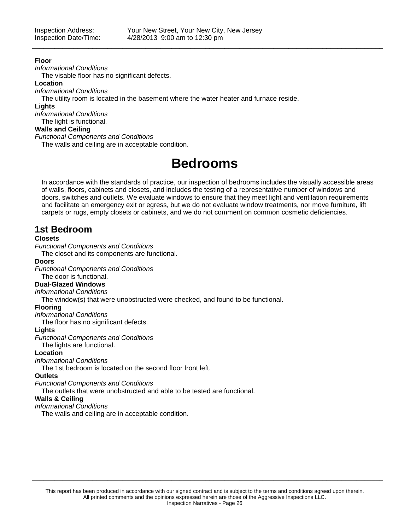### **Floor**

*Informational Conditions*

The visable floor has no significant defects.

### **Location**

*Informational Conditions*

The utility room is located in the basement where the water heater and furnace reside.

### **Lights**

*Informational Conditions* The light is functional.

### **Walls and Ceiling**

### *Functional Components and Conditions*

The walls and ceiling are in acceptable condition.

## **Bedrooms**

In accordance with the standards of practice, our inspection of bedrooms includes the visually accessible areas of walls, floors, cabinets and closets, and includes the testing of a representative number of windows and doors, switches and outlets. We evaluate windows to ensure that they meet light and ventilation requirements and facilitate an emergency exit or egress, but we do not evaluate window treatments, nor move furniture, lift carpets or rugs, empty closets or cabinets, and we do not comment on common cosmetic deficiencies.

### **1st Bedroom**

### **Closets**

*Functional Components and Conditions*

The closet and its components are functional.

### **Doors**

*Functional Components and Conditions*

### The door is functional.

### **Dual-Glazed Windows**

*Informational Conditions*

The window(s) that were unobstructed were checked, and found to be functional.

### **Flooring**

*Informational Conditions*

The floor has no significant defects.

### **Lights**

*Functional Components and Conditions*

The lights are functional.

### **Location**

*Informational Conditions*

The 1st bedroom is located on the second floor front left.

### **Outlets**

*Functional Components and Conditions*

The outlets that were unobstructed and able to be tested are functional.

### **Walls & Ceiling**

*Informational Conditions*

The walls and ceiling are in acceptable condition.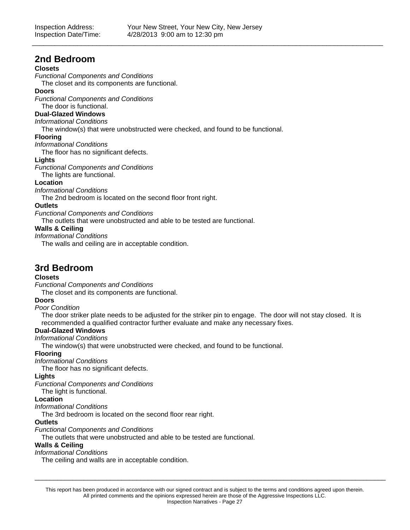### **2nd Bedroom**

### **Closets**

*Functional Components and Conditions*

The closet and its components are functional.

### **Doors**

*Functional Components and Conditions*

The door is functional.

### **Dual-Glazed Windows**

*Informational Conditions*

The window(s) that were unobstructed were checked, and found to be functional.

### **Flooring**

*Informational Conditions*

The floor has no significant defects.

### **Lights**

*Functional Components and Conditions*

The lights are functional.

### **Location**

*Informational Conditions*

The 2nd bedroom is located on the second floor front right.

### **Outlets**

*Functional Components and Conditions*

The outlets that were unobstructed and able to be tested are functional.

### **Walls & Ceiling**

*Informational Conditions*

The walls and ceiling are in acceptable condition.

### **3rd Bedroom**

### **Closets**

*Functional Components and Conditions*

The closet and its components are functional.

### **Doors**

### *Poor Condition*

The door striker plate needs to be adjusted for the striker pin to engage. The door will not stay closed. It is recommended a qualified contractor further evaluate and make any necessary fixes.

### **Dual-Glazed Windows**

*Informational Conditions*

The window(s) that were unobstructed were checked, and found to be functional.

### **Flooring**

*Informational Conditions*

The floor has no significant defects.

### **Lights**

*Functional Components and Conditions*

The light is functional.

### **Location**

*Informational Conditions*

The 3rd bedroom is located on the second floor rear right.

### **Outlets**

*Functional Components and Conditions*

The outlets that were unobstructed and able to be tested are functional.

### **Walls & Ceiling**

*Informational Conditions*

The ceiling and walls are in acceptable condition.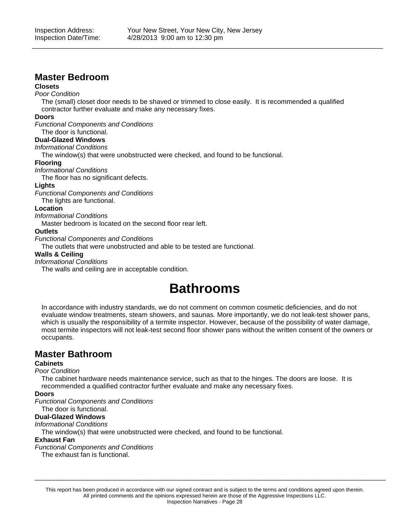### **Master Bedroom**

### **Closets**

### *Poor Condition*

The (small) closet door needs to be shaved or trimmed to close easily. It is recommended a qualified contractor further evaluate and make any necessary fixes.

### **Doors**

*Functional Components and Conditions*

### The door is functional.

### **Dual-Glazed Windows**

*Informational Conditions*

The window(s) that were unobstructed were checked, and found to be functional.

### **Flooring**

*Informational Conditions*

The floor has no significant defects.

### **Lights**

*Functional Components and Conditions*

The lights are functional.

### **Location**

### *Informational Conditions*

Master bedroom is located on the second floor rear left.

### **Outlets**

*Functional Components and Conditions*

The outlets that were unobstructed and able to be tested are functional.

### **Walls & Ceiling**

*Informational Conditions*

The walls and ceiling are in acceptable condition.

## **Bathrooms**

In accordance with industry standards, we do not comment on common cosmetic deficiencies, and do not evaluate window treatments, steam showers, and saunas. More importantly, we do not leak-test shower pans, which is usually the responsibility of a termite inspector. However, because of the possibility of water damage, most termite inspectors will not leak-test second floor shower pans without the written consent of the owners or occupants.

### **Master Bathroom**

### **Cabinets**

### *Poor Condition*

The cabinet hardware needs maintenance service, such as that to the hinges. The doors are loose. It is recommended a qualified contractor further evaluate and make any necessary fixes.

### **Doors**

*Functional Components and Conditions*

### The door is functional.

### **Dual-Glazed Windows**

*Informational Conditions*

The window(s) that were unobstructed were checked, and found to be functional.

### **Exhaust Fan**

*Functional Components and Conditions*

The exhaust fan is functional.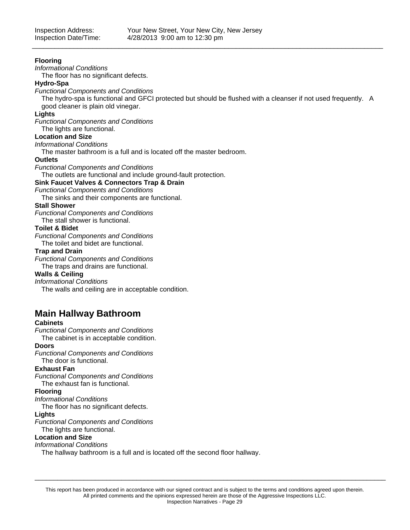### **Flooring**

*Informational Conditions*

The floor has no significant defects.

### **Hydro-Spa**

*Functional Components and Conditions*

The hydro-spa is functional and GFCI protected but should be flushed with a cleanser if not used frequently. A good cleaner is plain old vinegar.

\_\_\_\_\_\_\_\_\_\_\_\_\_\_\_\_\_\_\_\_\_\_\_\_\_\_\_\_\_\_\_\_\_\_\_\_\_\_\_\_\_\_\_\_\_\_\_\_\_\_\_\_\_\_\_\_\_\_\_\_\_\_\_\_\_\_\_\_\_\_\_\_\_\_\_\_\_\_\_\_\_\_\_\_\_\_\_\_\_\_\_\_\_

### **Lights**

*Functional Components and Conditions*

The lights are functional.

### **Location and Size**

*Informational Conditions*

The master bathroom is a full and is located off the master bedroom.

### **Outlets**

*Functional Components and Conditions*

The outlets are functional and include ground-fault protection.

### **Sink Faucet Valves & Connectors Trap & Drain**

*Functional Components and Conditions*

The sinks and their components are functional.

### **Stall Shower**

*Functional Components and Conditions* The stall shower is functional.

### **Toilet & Bidet**

*Functional Components and Conditions*

The toilet and bidet are functional.

### **Trap and Drain**

*Functional Components and Conditions* The traps and drains are functional.

### **Walls & Ceiling**

*Informational Conditions*

The walls and ceiling are in acceptable condition.

### **Main Hallway Bathroom**

### **Cabinets**

*Functional Components and Conditions*

The cabinet is in acceptable condition.

### **Doors**

*Functional Components and Conditions* The door is functional.

### **Exhaust Fan**

*Functional Components and Conditions* The exhaust fan is functional.

### **Flooring**

*Informational Conditions*

The floor has no significant defects.

### **Lights**

*Functional Components and Conditions* The lights are functional.

### **Location and Size**

### *Informational Conditions*

The hallway bathroom is a full and is located off the second floor hallway.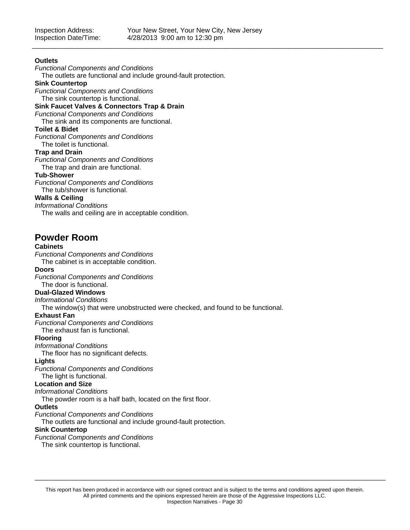### **Outlets**

*Functional Components and Conditions*

The outlets are functional and include ground-fault protection.

### **Sink Countertop**

*Functional Components and Conditions* The sink countertop is functional.

### **Sink Faucet Valves & Connectors Trap & Drain**

*Functional Components and Conditions*

The sink and its components are functional.

### **Toilet & Bidet**

*Functional Components and Conditions* The toilet is functional.

### **Trap and Drain**

*Functional Components and Conditions* The trap and drain are functional.

### **Tub-Shower**

*Functional Components and Conditions* The tub/shower is functional.

### **Walls & Ceiling**

*Informational Conditions*

The walls and ceiling are in acceptable condition.

### **Powder Room**

### **Cabinets**

*Functional Components and Conditions*

The cabinet is in acceptable condition.

### **Doors**

*Functional Components and Conditions*

### The door is functional.

**Dual-Glazed Windows**

*Informational Conditions*

The window(s) that were unobstructed were checked, and found to be functional.

### **Exhaust Fan**

*Functional Components and Conditions*

The exhaust fan is functional.

### **Flooring**

*Informational Conditions*

The floor has no significant defects.

### **Lights**

*Functional Components and Conditions* The light is functional.

### **Location and Size**

### *Informational Conditions*

The powder room is a half bath, located on the first floor.

### **Outlets**

*Functional Components and Conditions*

The outlets are functional and include ground-fault protection.

### **Sink Countertop**

*Functional Components and Conditions*

The sink countertop is functional.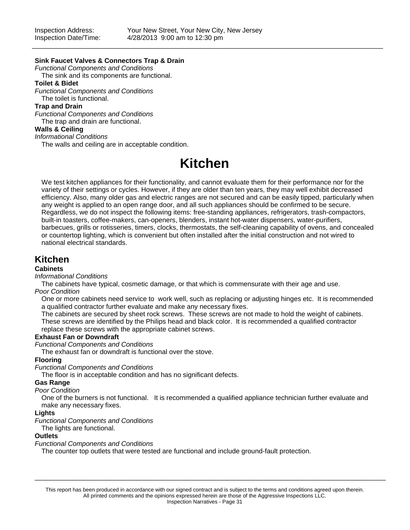### **Sink Faucet Valves & Connectors Trap & Drain**

*Functional Components and Conditions*

The sink and its components are functional. **Toilet & Bidet**

*Functional Components and Conditions* The toilet is functional.

**Trap and Drain**

*Functional Components and Conditions* The trap and drain are functional.

### **Walls & Ceiling**

### *Informational Conditions*

The walls and ceiling are in acceptable condition.

## **Kitchen**

We test kitchen appliances for their functionality, and cannot evaluate them for their performance nor for the variety of their settings or cycles. However, if they are older than ten years, they may well exhibit decreased efficiency. Also, many older gas and electric ranges are not secured and can be easily tipped, particularly when any weight is applied to an open range door, and all such appliances should be confirmed to be secure. Regardless, we do not inspect the following items: free-standing appliances, refrigerators, trash-compactors, built-in toasters, coffee-makers, can-openers, blenders, instant hot-water dispensers, water-purifiers, barbecues, grills or rotisseries, timers, clocks, thermostats, the self-cleaning capability of ovens, and concealed or countertop lighting, which is convenient but often installed after the initial construction and not wired to national electrical standards.

### **Kitchen**

### **Cabinets**

### *Informational Conditions*

The cabinets have typical, cosmetic damage, or that which is commensurate with their age and use.

### *Poor Condition*

One or more cabinets need service to work well, such as replacing or adjusting hinges etc. It is recommended a qualified contractor further evaluate and make any necessary fixes.

The cabinets are secured by sheet rock screws. These screws are not made to hold the weight of cabinets. These screws are identified by the Philips head and black color. It is recommended a qualified contractor replace these screws with the appropriate cabinet screws.

### **Exhaust Fan or Downdraft**

*Functional Components and Conditions*

The exhaust fan or downdraft is functional over the stove.

### **Flooring**

*Functional Components and Conditions*

The floor is in acceptable condition and has no significant defects.

### **Gas Range**

### *Poor Condition*

One of the burners is not functional. It is recommended a qualified appliance technician further evaluate and make any necessary fixes.

### **Lights**

*Functional Components and Conditions*

### The lights are functional.

### **Outlets**

*Functional Components and Conditions*

The counter top outlets that were tested are functional and include ground-fault protection.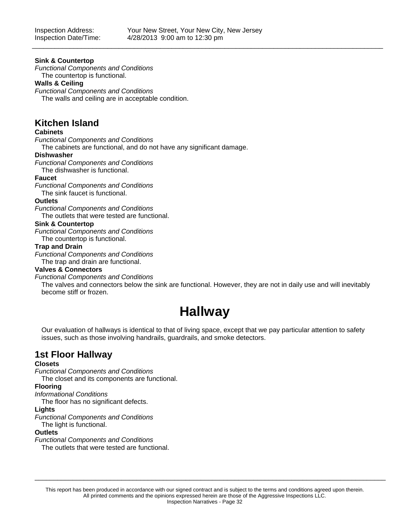### **Sink & Countertop**

*Functional Components and Conditions*

The countertop is functional.

### **Walls & Ceiling**

*Functional Components and Conditions* The walls and ceiling are in acceptable condition.

### **Kitchen Island**

### **Cabinets**

*Functional Components and Conditions*

The cabinets are functional, and do not have any significant damage.

### **Dishwasher**

*Functional Components and Conditions*

The dishwasher is functional.

### **Faucet**

*Functional Components and Conditions* The sink faucet is functional.

### **Outlets**

*Functional Components and Conditions*

The outlets that were tested are functional.

### **Sink & Countertop**

*Functional Components and Conditions* The countertop is functional.

### **Trap and Drain**

*Functional Components and Conditions* The trap and drain are functional.

### **Valves & Connectors**

### *Functional Components and Conditions*

The valves and connectors below the sink are functional. However, they are not in daily use and will inevitably become stiff or frozen.

## **Hallway**

Our evaluation of hallways is identical to that of living space, except that we pay particular attention to safety issues, such as those involving handrails, guardrails, and smoke detectors.

### **1st Floor Hallway**

### **Closets**

*Functional Components and Conditions*

The closet and its components are functional.

### **Flooring**

*Informational Conditions*

The floor has no significant defects.

#### **Lights**

*Functional Components and Conditions*

The light is functional.

#### **Outlets**

*Functional Components and Conditions*

The outlets that were tested are functional.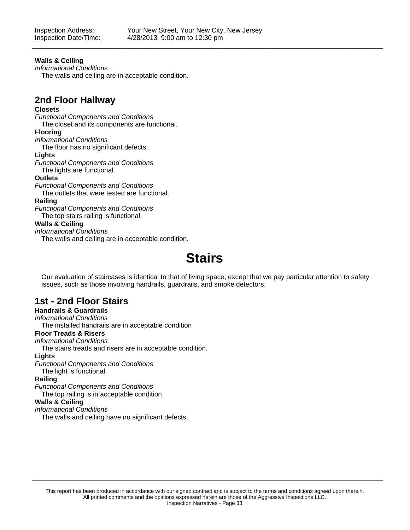### **Walls & Ceiling**

*Informational Conditions*

The walls and ceiling are in acceptable condition.

### **2nd Floor Hallway**

### **Closets**

*Functional Components and Conditions* The closet and its components are functional.

#### **Flooring**

*Informational Conditions*

The floor has no significant defects.

### **Lights**

*Functional Components and Conditions* The lights are functional.

### **Outlets**

*Functional Components and Conditions*

The outlets that were tested are functional.

### **Railing**

*Functional Components and Conditions* The top stairs railing is functional.

### **Walls & Ceiling**

*Informational Conditions*

The walls and ceiling are in acceptable condition.

## **Stairs**

Our evaluation of staircases is identical to that of living space, except that we pay particular attention to safety issues, such as those involving handrails, guardrails, and smoke detectors.

### **1st - 2nd Floor Stairs**

### **Handrails & Guardrails**

### *Informational Conditions*

The installed handrails are in acceptable condition

### **Floor Treads & Risers**

*Informational Conditions*

The stairs treads and risers are in acceptable condition.

### **Lights**

*Functional Components and Conditions*

### The light is functional.

### **Railing**

*Functional Components and Conditions*

The top railing is in acceptable condition.

### **Walls & Ceiling**

*Informational Conditions*

The walls and ceiling have no significant defects.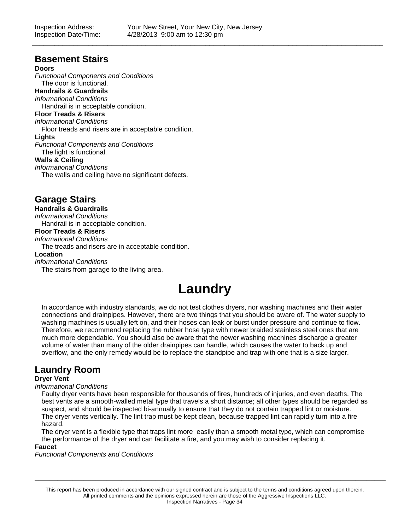### **Basement Stairs**

### **Doors**

*Functional Components and Conditions* The door is functional. **Handrails & Guardrails** *Informational Conditions* Handrail is in acceptable condition. **Floor Treads & Risers** *Informational Conditions* Floor treads and risers are in acceptable condition. **Lights** *Functional Components and Conditions* The light is functional. **Walls & Ceiling** *Informational Conditions*

The walls and ceiling have no significant defects.

### **Garage Stairs**

### **Handrails & Guardrails**

*Informational Conditions* Handrail is in acceptable condition.

### **Floor Treads & Risers**

*Informational Conditions*

The treads and risers are in acceptable condition.

#### **Location**

*Informational Conditions*

The stairs from garage to the living area.

## **Laundry**

In accordance with industry standards, we do not test clothes dryers, nor washing machines and their water connections and drainpipes. However, there are two things that you should be aware of. The water supply to washing machines is usually left on, and their hoses can leak or burst under pressure and continue to flow. Therefore, we recommend replacing the rubber hose type with newer braided stainless steel ones that are much more dependable. You should also be aware that the newer washing machines discharge a greater volume of water than many of the older drainpipes can handle, which causes the water to back up and overflow, and the only remedy would be to replace the standpipe and trap with one that is a size larger.

### **Laundry Room**

### **Dryer Vent**

### *Informational Conditions*

Faulty dryer vents have been responsible for thousands of fires, hundreds of injuries, and even deaths. The best vents are a smooth-walled metal type that travels a short distance; all other types should be regarded as suspect, and should be inspected bi-annually to ensure that they do not contain trapped lint or moisture. The dryer vents vertically. The lint trap must be kept clean, because trapped lint can rapidly turn into a fire hazard.

The dryer vent is a flexible type that traps lint more easily than a smooth metal type, which can compromise the performance of the dryer and can facilitate a fire, and you may wish to consider replacing it.

### **Faucet**

*Functional Components and Conditions*

This report has been produced in accordance with our signed contract and is subject to the terms and conditions agreed upon therein. All printed comments and the opinions expressed herein are those of the Aggressive Inspections LLC. Inspection Narratives - Page 34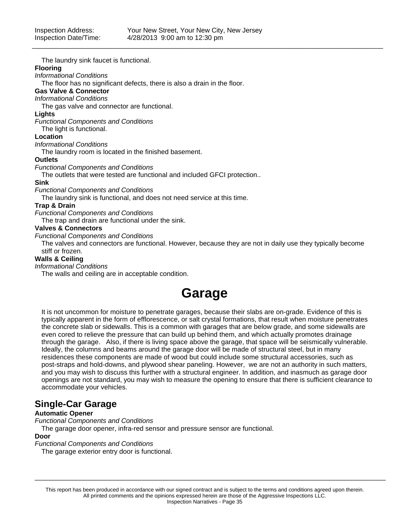The laundry sink faucet is functional.

### **Flooring**

*Informational Conditions*

The floor has no significant defects, there is also a drain in the floor.

### **Gas Valve & Connector**

*Informational Conditions*

The gas valve and connector are functional.

### **Lights**

*Functional Components and Conditions*

The light is functional.

### **Location**

*Informational Conditions*

The laundry room is located in the finished basement.

### **Outlets**

*Functional Components and Conditions*

The outlets that were tested are functional and included GFCI protection..

### **Sink**

*Functional Components and Conditions*

The laundry sink is functional, and does not need service at this time.

### **Trap & Drain**

*Functional Components and Conditions*

The trap and drain are functional under the sink.

### **Valves & Connectors**

*Functional Components and Conditions*

The valves and connectors are functional. However, because they are not in daily use they typically become stiff or frozen.

### **Walls & Ceiling**

*Informational Conditions*

The walls and ceiling are in acceptable condition.

## **Garage**

It is not uncommon for moisture to penetrate garages, because their slabs are on-grade. Evidence of this is typically apparent in the form of efflorescence, or salt crystal formations, that result when moisture penetrates the concrete slab or sidewalls. This is a common with garages that are below grade, and some sidewalls are even cored to relieve the pressure that can build up behind them, and which actually promotes drainage through the garage. Also, if there is living space above the garage, that space will be seismically vulnerable. Ideally, the columns and beams around the garage door will be made of structural steel, but in many residences these components are made of wood but could include some structural accessories, such as post-straps and hold-downs, and plywood shear paneling. However, we are not an authority in such matters, and you may wish to discuss this further with a structural engineer. In addition, and inasmuch as garage door openings are not standard, you may wish to measure the opening to ensure that there is sufficient clearance to accommodate your vehicles.

### **Single-Car Garage**

### **Automatic Opener**

*Functional Components and Conditions*

The garage door opener, infra-red sensor and pressure sensor are functional.

### **Door**

*Functional Components and Conditions*

The garage exterior entry door is functional.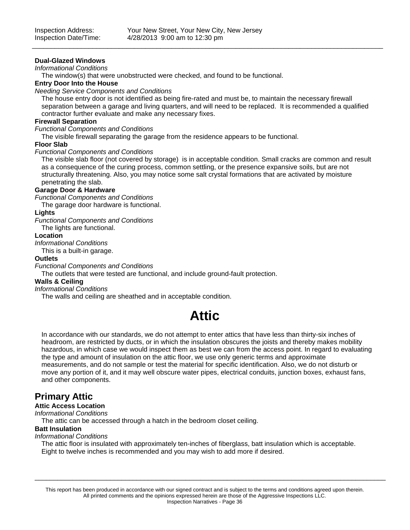### **Dual-Glazed Windows**

*Informational Conditions*

The window(s) that were unobstructed were checked, and found to be functional.

### **Entry Door Into the House**

*Needing Service Components and Conditions*

The house entry door is not identified as being fire-rated and must be, to maintain the necessary firewall separation between a garage and living quarters, and will need to be replaced. It is recommended a qualified contractor further evaluate and make any necessary fixes.

### **Firewall Separation**

*Functional Components and Conditions*

The visible firewall separating the garage from the residence appears to be functional.

### **Floor Slab**

*Functional Components and Conditions*

The visible slab floor (not covered by storage) is in acceptable condition. Small cracks are common and result as a consequence of the curing process, common settling, or the presence expansive soils, but are not structurally threatening. Also, you may notice some salt crystal formations that are activated by moisture penetrating the slab.

### **Garage Door & Hardware**

*Functional Components and Conditions*

The garage door hardware is functional.

### **Lights**

*Functional Components and Conditions*

The lights are functional.

### **Location**

*Informational Conditions*

This is a built-in garage.

### **Outlets**

*Functional Components and Conditions*

The outlets that were tested are functional, and include ground-fault protection.

### **Walls & Ceiling**

*Informational Conditions*

The walls and ceiling are sheathed and in acceptable condition.

## **Attic**

In accordance with our standards, we do not attempt to enter attics that have less than thirty-six inches of headroom, are restricted by ducts, or in which the insulation obscures the joists and thereby makes mobility hazardous, in which case we would inspect them as best we can from the access point. In regard to evaluating the type and amount of insulation on the attic floor, we use only generic terms and approximate measurements, and do not sample or test the material for specific identification. Also, we do not disturb or move any portion of it, and it may well obscure water pipes, electrical conduits, junction boxes, exhaust fans, and other components.

### **Primary Attic**

### **Attic Access Location**

*Informational Conditions*

The attic can be accessed through a hatch in the bedroom closet ceiling.

### **Batt Insulation**

*Informational Conditions*

The attic floor is insulated with approximately ten-inches of fiberglass, batt insulation which is acceptable. Eight to twelve inches is recommended and you may wish to add more if desired.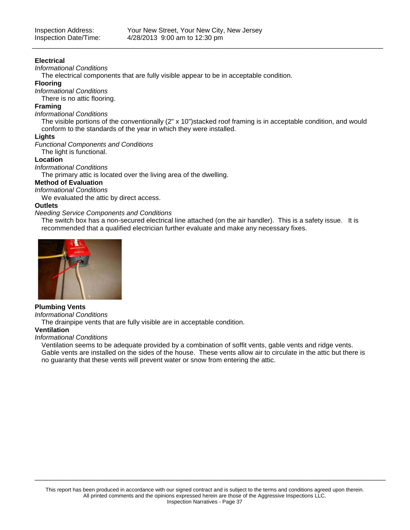### **Electrical**

*Informational Conditions*

The electrical components that are fully visible appear to be in acceptable condition.

### **Flooring**

*Informational Conditions*

There is no attic flooring.

### **Framing**

### *Informational Conditions*

The visible portions of the conventionally (2" x 10")stacked roof framing is in acceptable condition, and would conform to the standards of the year in which they were installed.

### **Lights**

*Functional Components and Conditions*

The light is functional.

### **Location**

*Informational Conditions*

The primary attic is located over the living area of the dwelling.

### **Method of Evaluation**

*Informational Conditions*

We evaluated the attic by direct access.

### **Outlets**

### *Needing Service Components and Conditions*

The switch box has a non-secured electrical line attached (on the air handler). This is a safety issue. It is recommended that a qualified electrician further evaluate and make any necessary fixes.



### **Plumbing Vents**

*Informational Conditions*

The drainpipe vents that are fully visible are in acceptable condition.

### **Ventilation**

### *Informational Conditions*

Ventilation seems to be adequate provided by a combination of soffit vents, gable vents and ridge vents. Gable vents are installed on the sides of the house. These vents allow air to circulate in the attic but there is no guaranty that these vents will prevent water or snow from entering the attic.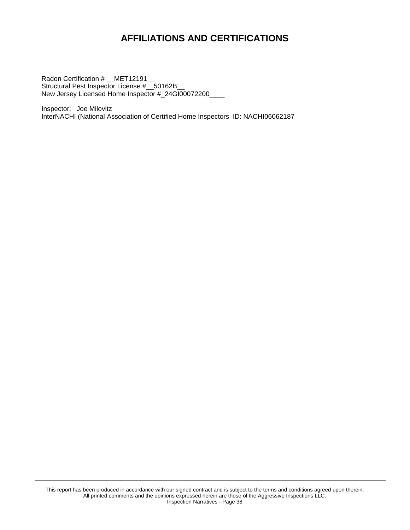## **AFFILIATIONS AND CERTIFICATIONS**

Radon Certification # \_\_MET12191\_\_ Structural Pest Inspector License # 50162B New Jersey Licensed Home Inspector #\_24GI00072200\_\_\_\_

Inspector: Joe Milovitz InterNACHI (National Association of Certified Home Inspectors ID: NACHI06062187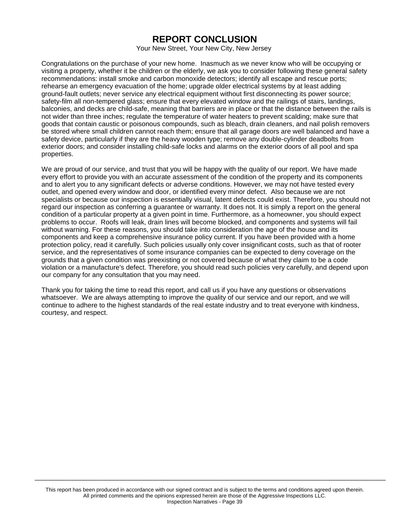### **REPORT CONCLUSION**

Your New Street, Your New City, New Jersey

Congratulations on the purchase of your new home. Inasmuch as we never know who will be occupying or visiting a property, whether it be children or the elderly, we ask you to consider following these general safety recommendations: install smoke and carbon monoxide detectors; identify all escape and rescue ports; rehearse an emergency evacuation of the home; upgrade older electrical systems by at least adding ground-fault outlets; never service any electrical equipment without first disconnecting its power source; safety-film all non-tempered glass; ensure that every elevated window and the railings of stairs, landings, balconies, and decks are child-safe, meaning that barriers are in place or that the distance between the rails is not wider than three inches; regulate the temperature of water heaters to prevent scalding; make sure that goods that contain caustic or poisonous compounds, such as bleach, drain cleaners, and nail polish removers be stored where small children cannot reach them; ensure that all garage doors are well balanced and have a safety device, particularly if they are the heavy wooden type; remove any double-cylinder deadbolts from exterior doors; and consider installing child-safe locks and alarms on the exterior doors of all pool and spa properties.

We are proud of our service, and trust that you will be happy with the quality of our report. We have made every effort to provide you with an accurate assessment of the condition of the property and its components and to alert you to any significant defects or adverse conditions. However, we may not have tested every outlet, and opened every window and door, or identified every minor defect. Also because we are not specialists or because our inspection is essentially visual, latent defects could exist. Therefore, you should not regard our inspection as conferring a guarantee or warranty. It does not. It is simply a report on the general condition of a particular property at a given point in time. Furthermore, as a homeowner, you should expect problems to occur. Roofs will leak, drain lines will become blocked, and components and systems will fail without warning. For these reasons, you should take into consideration the age of the house and its components and keep a comprehensive insurance policy current. If you have been provided with a home protection policy, read it carefully. Such policies usually only cover insignificant costs, such as that of rooter service, and the representatives of some insurance companies can be expected to deny coverage on the grounds that a given condition was preexisting or not covered because of what they claim to be a code violation or a manufacture's defect. Therefore, you should read such policies very carefully, and depend upon our company for any consultation that you may need.

Thank you for taking the time to read this report, and call us if you have any questions or observations whatsoever. We are always attempting to improve the quality of our service and our report, and we will continue to adhere to the highest standards of the real estate industry and to treat everyone with kindness, courtesy, and respect.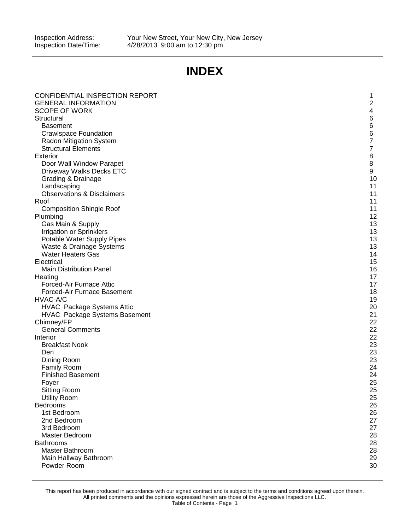## **INDEX**

\_\_\_\_\_\_\_\_\_\_\_\_\_\_\_\_\_\_\_\_\_\_\_\_\_\_\_\_\_\_\_\_\_\_\_\_\_\_\_\_\_\_\_\_\_\_\_\_\_\_\_\_\_\_\_\_\_\_\_\_\_\_\_\_\_\_\_\_\_\_\_\_\_\_\_\_\_\_\_\_\_\_\_\_\_\_\_\_\_\_\_\_\_

| CONFIDENTIAL INSPECTION REPORT                     | 1                       |
|----------------------------------------------------|-------------------------|
| <b>GENERAL INFORMATION</b><br><b>SCOPE OF WORK</b> | $\overline{c}$          |
| Structural                                         | 4<br>6                  |
| <b>Basement</b>                                    | 6                       |
| <b>Crawlspace Foundation</b>                       | 6                       |
| Radon Mitigation System                            | $\overline{7}$          |
| <b>Structural Elements</b>                         | $\overline{\mathbf{7}}$ |
| <b>Exterior</b>                                    | $\bf 8$                 |
| Door Wall Window Parapet                           | 8                       |
| Driveway Walks Decks ETC                           | 9                       |
| Grading & Drainage                                 | 10                      |
| Landscaping                                        | 11                      |
| <b>Observations &amp; Disclaimers</b>              | 11                      |
| Roof                                               | 11                      |
| <b>Composition Shingle Roof</b>                    | 11                      |
| Plumbing                                           | 12                      |
| Gas Main & Supply                                  | 13                      |
| <b>Irrigation or Sprinklers</b>                    | 13                      |
| Potable Water Supply Pipes                         | 13                      |
| Waste & Drainage Systems                           | 13                      |
| <b>Water Heaters Gas</b>                           | 14                      |
| Electrical                                         | 15                      |
| <b>Main Distribution Panel</b>                     | 16                      |
| Heating                                            | 17                      |
| Forced-Air Furnace Attic                           | 17                      |
| Forced-Air Furnace Basement<br>HVAC-A/C            | 18<br>19                |
| <b>HVAC Package Systems Attic</b>                  | 20                      |
| <b>HVAC Package Systems Basement</b>               | 21                      |
| Chimney/FP                                         | 22                      |
| <b>General Comments</b>                            | 22                      |
| Interior                                           | 22                      |
| <b>Breakfast Nook</b>                              | 23                      |
| Den                                                | 23                      |
| Dining Room                                        | 23                      |
| <b>Family Room</b>                                 | 24                      |
| <b>Finished Basement</b>                           | 24                      |
| Foyer                                              | 25                      |
| <b>Sitting Room</b>                                | 25                      |
| <b>Utility Room</b>                                | 25                      |
| Bedrooms                                           | 26                      |
| 1st Bedroom                                        | 26                      |
| 2nd Bedroom                                        | 27                      |
| 3rd Bedroom                                        | 27                      |
| Master Bedroom                                     | 28                      |
| <b>Bathrooms</b>                                   | 28                      |
| Master Bathroom                                    | 28<br>29                |
| Main Hallway Bathroom<br>Powder Room               | 30                      |
|                                                    |                         |

This report has been produced in accordance with our signed contract and is subject to the terms and conditions agreed upon therein. All printed comments and the opinions expressed herein are those of the Aggressive Inspections LLC. Table of Contents - Page 1